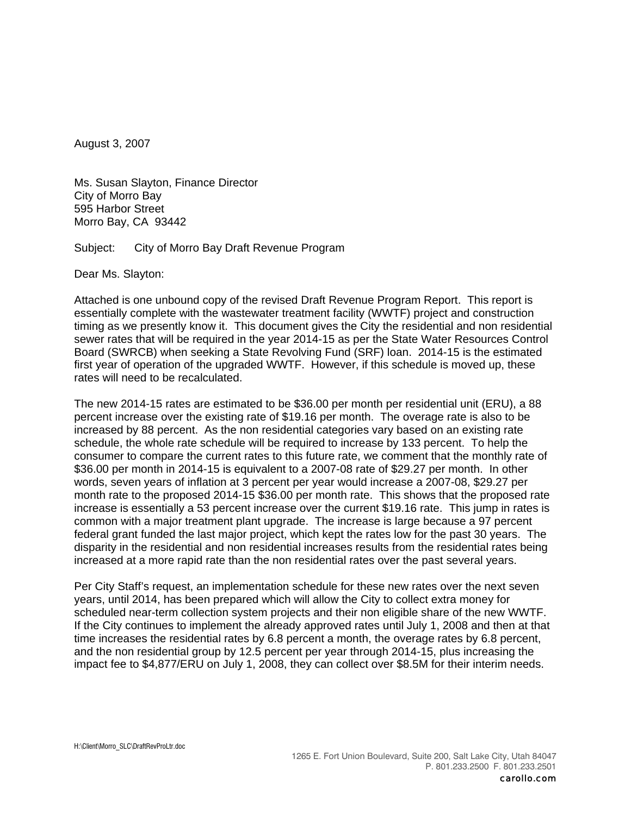August 3, 2007

Ms. Susan Slayton, Finance Director City of Morro Bay 595 Harbor Street Morro Bay, CA 93442

Subject: City of Morro Bay Draft Revenue Program

Dear Ms. Slayton:

Attached is one unbound copy of the revised Draft Revenue Program Report. This report is essentially complete with the wastewater treatment facility (WWTF) project and construction timing as we presently know it. This document gives the City the residential and non residential sewer rates that will be required in the year 2014-15 as per the State Water Resources Control Board (SWRCB) when seeking a State Revolving Fund (SRF) loan. 2014-15 is the estimated first year of operation of the upgraded WWTF. However, if this schedule is moved up, these rates will need to be recalculated.

The new 2014-15 rates are estimated to be \$36.00 per month per residential unit (ERU), a 88 percent increase over the existing rate of \$19.16 per month. The overage rate is also to be increased by 88 percent. As the non residential categories vary based on an existing rate schedule, the whole rate schedule will be required to increase by 133 percent. To help the consumer to compare the current rates to this future rate, we comment that the monthly rate of \$36.00 per month in 2014-15 is equivalent to a 2007-08 rate of \$29.27 per month. In other words, seven years of inflation at 3 percent per year would increase a 2007-08, \$29.27 per month rate to the proposed 2014-15 \$36.00 per month rate. This shows that the proposed rate increase is essentially a 53 percent increase over the current \$19.16 rate. This jump in rates is common with a major treatment plant upgrade. The increase is large because a 97 percent federal grant funded the last major project, which kept the rates low for the past 30 years. The disparity in the residential and non residential increases results from the residential rates being increased at a more rapid rate than the non residential rates over the past several years.

Per City Staff's request, an implementation schedule for these new rates over the next seven years, until 2014, has been prepared which will allow the City to collect extra money for scheduled near-term collection system projects and their non eligible share of the new WWTF. If the City continues to implement the already approved rates until July 1, 2008 and then at that time increases the residential rates by 6.8 percent a month, the overage rates by 6.8 percent, and the non residential group by 12.5 percent per year through 2014-15, plus increasing the impact fee to \$4,877/ERU on July 1, 2008, they can collect over \$8.5M for their interim needs.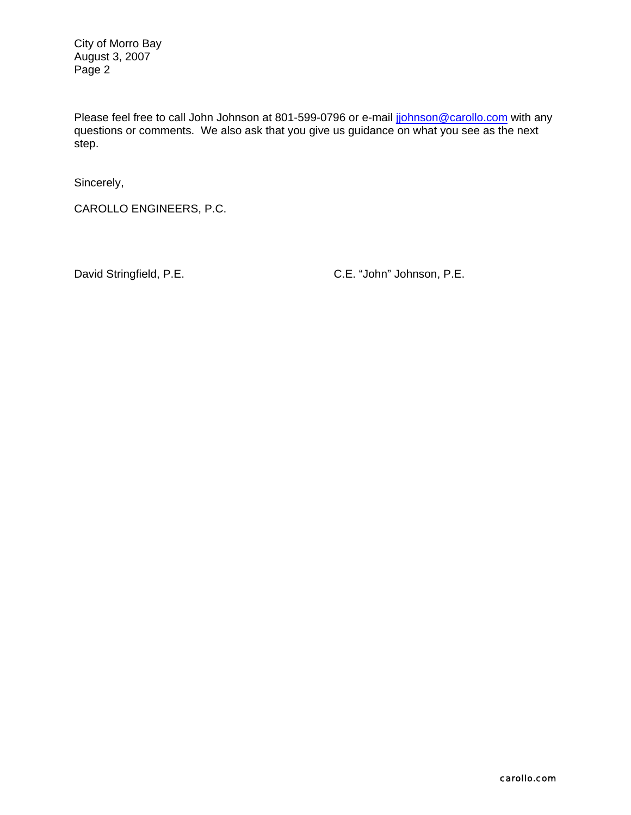City of Morro Bay August 3, 2007 Page 2

Please feel free to call John Johnson at 801-599-0796 or e-mail johnson@carollo.com with any questions or comments. We also ask that you give us guidance on what you see as the next step.

Sincerely,

CAROLLO ENGINEERS, P.C.

David Stringfield, P.E. C.E. "John" Johnson, P.E.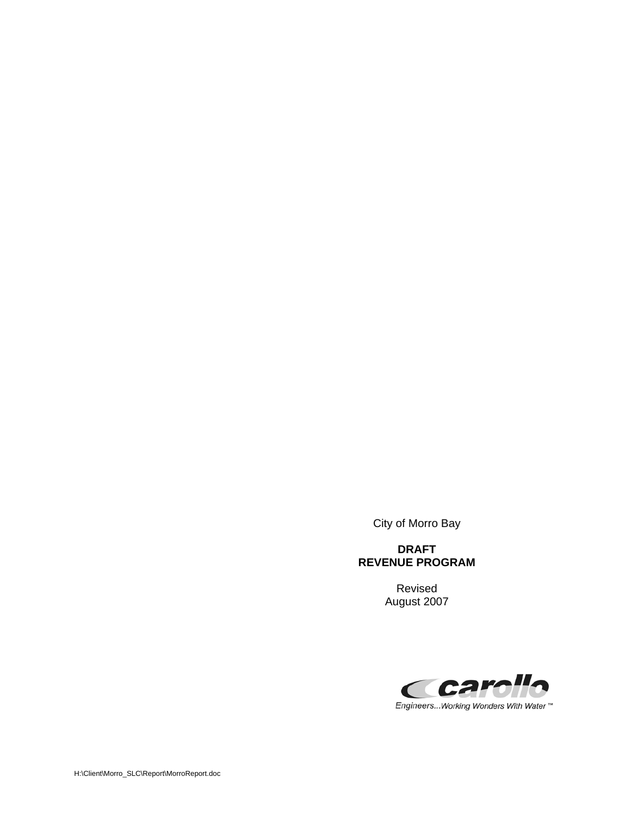City of Morro Bay

#### **DRAFT REVENUE PROGRAM**

 Revised August 2007



Engineers... Working Wonders With Water ™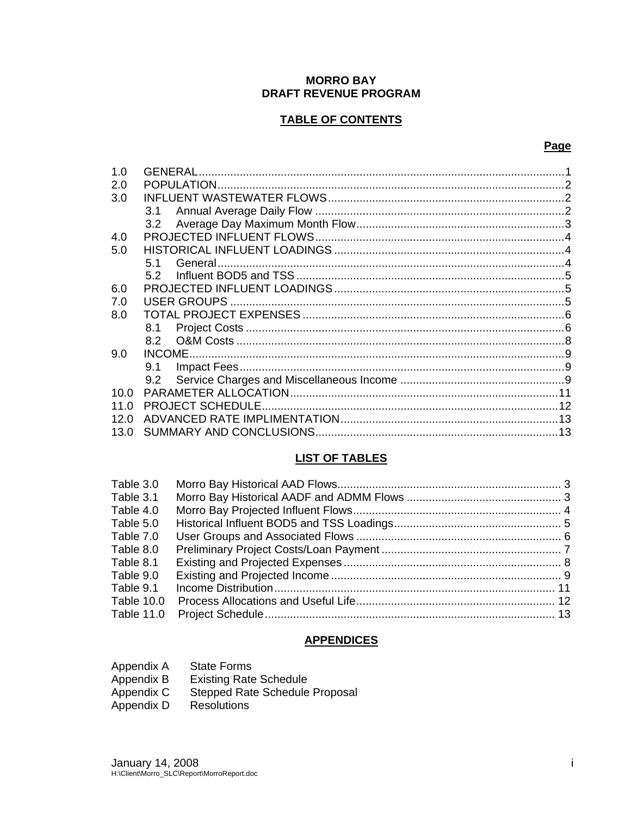#### **MORRO BAY** DRAFT REVENUE PROGRAM

#### **TABLE OF CONTENTS**

#### Page

| 1.0  | GENERAL       |  |
|------|---------------|--|
| 2.0  |               |  |
| 3.0  |               |  |
|      | 3.1           |  |
|      | 3.2           |  |
| 4.0  |               |  |
| 5.0  |               |  |
|      | 51            |  |
|      | 5.2           |  |
| 6.0  |               |  |
| 7.0  |               |  |
| 8.0  |               |  |
|      | 8.1           |  |
|      | 8.2           |  |
| 9.0  |               |  |
|      | 9.1           |  |
|      | $9.2^{\circ}$ |  |
| 10.0 |               |  |
| 11 N |               |  |
| 12.0 |               |  |
| 13.0 |               |  |

#### **LIST OF TABLES**

#### **APPENDICES**

| Appendix A | <b>State Forms</b>                    |
|------------|---------------------------------------|
| Appendix B | <b>Existing Rate Schedule</b>         |
| Appendix C | <b>Stepped Rate Schedule Proposal</b> |
| Appendix D | <b>Resolutions</b>                    |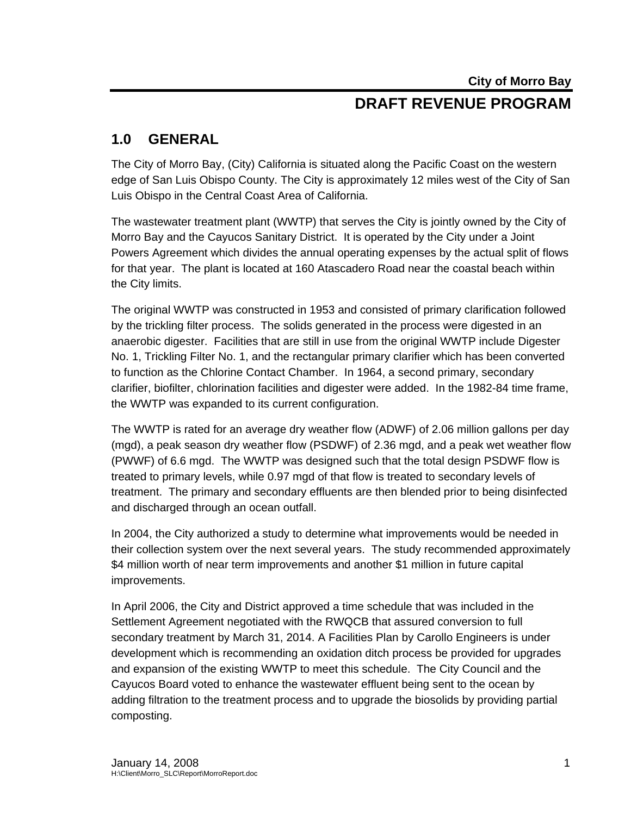## **DRAFT REVENUE PROGRAM**

## **1.0 GENERAL**

The City of Morro Bay, (City) California is situated along the Pacific Coast on the western edge of San Luis Obispo County. The City is approximately 12 miles west of the City of San Luis Obispo in the Central Coast Area of California.

The wastewater treatment plant (WWTP) that serves the City is jointly owned by the City of Morro Bay and the Cayucos Sanitary District. It is operated by the City under a Joint Powers Agreement which divides the annual operating expenses by the actual split of flows for that year. The plant is located at 160 Atascadero Road near the coastal beach within the City limits.

The original WWTP was constructed in 1953 and consisted of primary clarification followed by the trickling filter process. The solids generated in the process were digested in an anaerobic digester. Facilities that are still in use from the original WWTP include Digester No. 1, Trickling Filter No. 1, and the rectangular primary clarifier which has been converted to function as the Chlorine Contact Chamber. In 1964, a second primary, secondary clarifier, biofilter, chlorination facilities and digester were added. In the 1982-84 time frame, the WWTP was expanded to its current configuration.

The WWTP is rated for an average dry weather flow (ADWF) of 2.06 million gallons per day (mgd), a peak season dry weather flow (PSDWF) of 2.36 mgd, and a peak wet weather flow (PWWF) of 6.6 mgd. The WWTP was designed such that the total design PSDWF flow is treated to primary levels, while 0.97 mgd of that flow is treated to secondary levels of treatment. The primary and secondary effluents are then blended prior to being disinfected and discharged through an ocean outfall.

In 2004, the City authorized a study to determine what improvements would be needed in their collection system over the next several years. The study recommended approximately \$4 million worth of near term improvements and another \$1 million in future capital improvements.

In April 2006, the City and District approved a time schedule that was included in the Settlement Agreement negotiated with the RWQCB that assured conversion to full secondary treatment by March 31, 2014. A Facilities Plan by Carollo Engineers is under development which is recommending an oxidation ditch process be provided for upgrades and expansion of the existing WWTP to meet this schedule. The City Council and the Cayucos Board voted to enhance the wastewater effluent being sent to the ocean by adding filtration to the treatment process and to upgrade the biosolids by providing partial composting.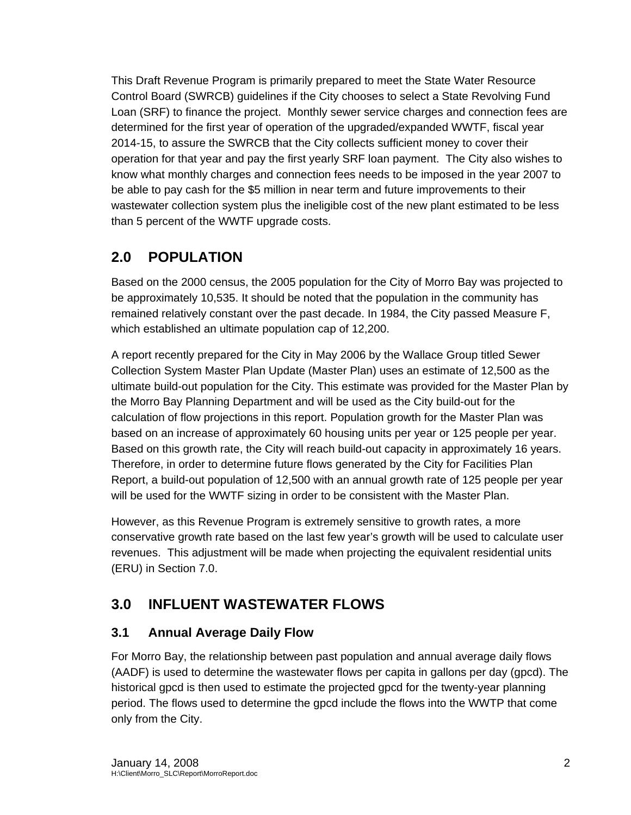This Draft Revenue Program is primarily prepared to meet the State Water Resource Control Board (SWRCB) guidelines if the City chooses to select a State Revolving Fund Loan (SRF) to finance the project. Monthly sewer service charges and connection fees are determined for the first year of operation of the upgraded/expanded WWTF, fiscal year 2014-15, to assure the SWRCB that the City collects sufficient money to cover their operation for that year and pay the first yearly SRF loan payment. The City also wishes to know what monthly charges and connection fees needs to be imposed in the year 2007 to be able to pay cash for the \$5 million in near term and future improvements to their wastewater collection system plus the ineligible cost of the new plant estimated to be less than 5 percent of the WWTF upgrade costs.

## **2.0 POPULATION**

Based on the 2000 census, the 2005 population for the City of Morro Bay was projected to be approximately 10,535. It should be noted that the population in the community has remained relatively constant over the past decade. In 1984, the City passed Measure F, which established an ultimate population cap of 12,200.

A report recently prepared for the City in May 2006 by the Wallace Group titled Sewer Collection System Master Plan Update (Master Plan) uses an estimate of 12,500 as the ultimate build-out population for the City. This estimate was provided for the Master Plan by the Morro Bay Planning Department and will be used as the City build-out for the calculation of flow projections in this report. Population growth for the Master Plan was based on an increase of approximately 60 housing units per year or 125 people per year. Based on this growth rate, the City will reach build-out capacity in approximately 16 years. Therefore, in order to determine future flows generated by the City for Facilities Plan Report, a build-out population of 12,500 with an annual growth rate of 125 people per year will be used for the WWTF sizing in order to be consistent with the Master Plan.

However, as this Revenue Program is extremely sensitive to growth rates, a more conservative growth rate based on the last few year's growth will be used to calculate user revenues. This adjustment will be made when projecting the equivalent residential units (ERU) in Section 7.0.

## **3.0 INFLUENT WASTEWATER FLOWS**

## **3.1 Annual Average Daily Flow**

For Morro Bay, the relationship between past population and annual average daily flows (AADF) is used to determine the wastewater flows per capita in gallons per day (gpcd). The historical gpcd is then used to estimate the projected gpcd for the twenty-year planning period. The flows used to determine the gpcd include the flows into the WWTP that come only from the City.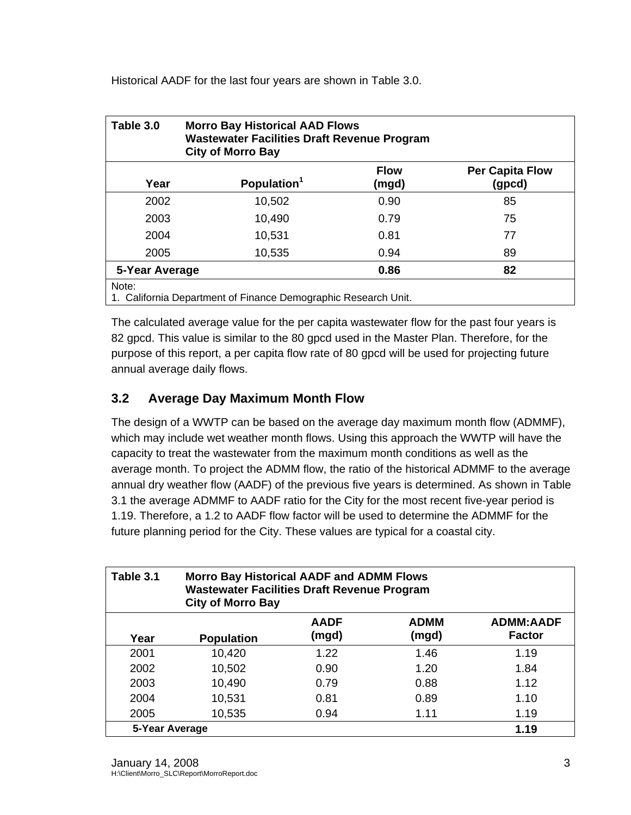Historical AADF for the last four years are shown in Table 3.0.

| Table 3.0                                                               | <b>Morro Bay Historical AAD Flows</b><br><b>Wastewater Facilities Draft Revenue Program</b><br><b>City of Morro Bay</b> |                      |                                  |  |  |  |
|-------------------------------------------------------------------------|-------------------------------------------------------------------------------------------------------------------------|----------------------|----------------------------------|--|--|--|
| Year                                                                    | Population <sup>1</sup>                                                                                                 | <b>Flow</b><br>(mgd) | <b>Per Capita Flow</b><br>(gpcd) |  |  |  |
| 2002                                                                    | 10,502                                                                                                                  | 0.90                 | 85                               |  |  |  |
| 2003                                                                    | 10,490                                                                                                                  | 0.79                 | 75                               |  |  |  |
| 2004                                                                    | 10,531                                                                                                                  | 0.81                 | 77                               |  |  |  |
| 2005                                                                    | 10,535                                                                                                                  | 0.94                 | 89                               |  |  |  |
|                                                                         | 0.86<br>82<br>5-Year Average                                                                                            |                      |                                  |  |  |  |
| Note:<br>1. California Department of Finance Demographic Research Unit. |                                                                                                                         |                      |                                  |  |  |  |

The calculated average value for the per capita wastewater flow for the past four years is 82 gpcd. This value is similar to the 80 gpcd used in the Master Plan. Therefore, for the purpose of this report, a per capita flow rate of 80 gpcd will be used for projecting future annual average daily flows.

## **3.2 Average Day Maximum Month Flow**

The design of a WWTP can be based on the average day maximum month flow (ADMMF), which may include wet weather month flows. Using this approach the WWTP will have the capacity to treat the wastewater from the maximum month conditions as well as the average month. To project the ADMM flow, the ratio of the historical ADMMF to the average annual dry weather flow (AADF) of the previous five years is determined. As shown in Table 3.1 the average ADMMF to AADF ratio for the City for the most recent five-year period is 1.19. Therefore, a 1.2 to AADF flow factor will be used to determine the ADMMF for the future planning period for the City. These values are typical for a coastal city.

| Table 3.1      | <b>Morro Bay Historical AADF and ADMM Flows</b><br><b>Wastewater Facilities Draft Revenue Program</b><br><b>City of Morro Bay</b> |                      |                      |                                   |  |
|----------------|-----------------------------------------------------------------------------------------------------------------------------------|----------------------|----------------------|-----------------------------------|--|
| Year           | <b>Population</b>                                                                                                                 | <b>AADF</b><br>(mgd) | <b>ADMM</b><br>(mgd) | <b>ADMM:AADF</b><br><b>Factor</b> |  |
| 2001           | 10,420                                                                                                                            | 1.22                 | 1.46                 | 1.19                              |  |
| 2002           | 10,502                                                                                                                            | 0.90                 | 1.20                 | 1.84                              |  |
| 2003           | 10,490                                                                                                                            | 0.79                 | 0.88                 | 1.12                              |  |
| 2004           | 10,531                                                                                                                            | 0.81                 | 0.89                 | 1.10                              |  |
| 2005           | 10,535                                                                                                                            | 0.94                 | 1.11                 | 1.19                              |  |
| 5-Year Average |                                                                                                                                   |                      |                      | 1.19                              |  |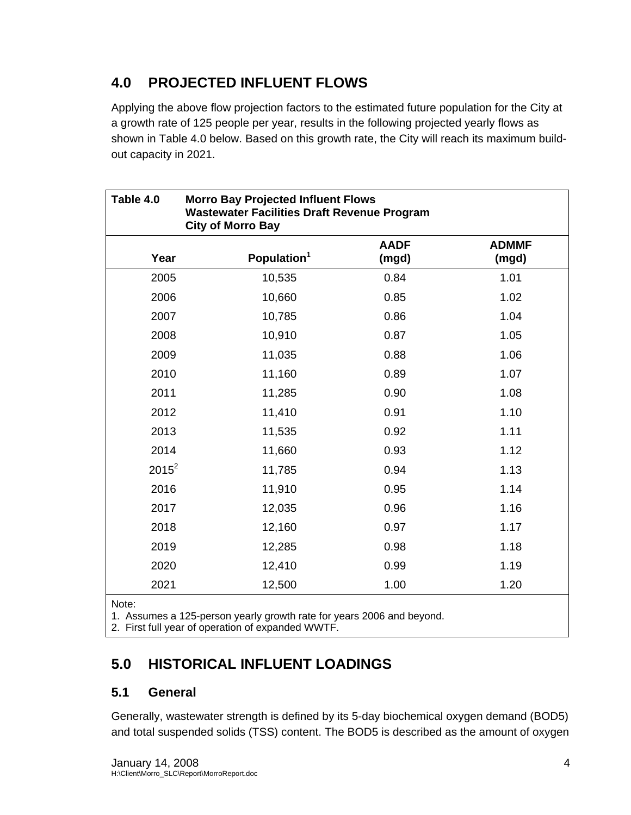## **4.0 PROJECTED INFLUENT FLOWS**

Applying the above flow projection factors to the estimated future population for the City at a growth rate of 125 people per year, results in the following projected yearly flows as shown in Table 4.0 below. Based on this growth rate, the City will reach its maximum buildout capacity in 2021.

| Table 4.0 | <b>Morro Bay Projected Influent Flows</b><br><b>Wastewater Facilities Draft Revenue Program</b><br><b>City of Morro Bay</b> |                      |                       |  |  |
|-----------|-----------------------------------------------------------------------------------------------------------------------------|----------------------|-----------------------|--|--|
| Year      | Population <sup>1</sup>                                                                                                     | <b>AADF</b><br>(mgd) | <b>ADMMF</b><br>(mgd) |  |  |
| 2005      | 10,535                                                                                                                      | 0.84                 | 1.01                  |  |  |
| 2006      | 10,660                                                                                                                      | 0.85                 | 1.02                  |  |  |
| 2007      | 10,785                                                                                                                      | 0.86                 | 1.04                  |  |  |
| 2008      | 10,910                                                                                                                      | 0.87                 | 1.05                  |  |  |
| 2009      | 11,035                                                                                                                      | 0.88                 | 1.06                  |  |  |
| 2010      | 11,160                                                                                                                      | 0.89                 | 1.07                  |  |  |
| 2011      | 11,285                                                                                                                      | 0.90                 | 1.08                  |  |  |
| 2012      | 11,410                                                                                                                      | 0.91                 | 1.10                  |  |  |
| 2013      | 11,535                                                                                                                      | 0.92                 | 1.11                  |  |  |
| 2014      | 11,660                                                                                                                      | 0.93                 | 1.12                  |  |  |
| $2015^2$  | 11,785                                                                                                                      | 0.94                 | 1.13                  |  |  |
| 2016      | 11,910                                                                                                                      | 0.95                 | 1.14                  |  |  |
| 2017      | 12,035                                                                                                                      | 0.96                 | 1.16                  |  |  |
| 2018      | 12,160                                                                                                                      | 0.97                 | 1.17                  |  |  |
| 2019      | 12,285                                                                                                                      | 0.98                 | 1.18                  |  |  |
| 2020      | 12,410                                                                                                                      | 0.99                 | 1.19                  |  |  |
| 2021      | 12,500                                                                                                                      | 1.00                 | 1.20                  |  |  |

Note:

1. Assumes a 125-person yearly growth rate for years 2006 and beyond.

2. First full year of operation of expanded WWTF.

## **5.0 HISTORICAL INFLUENT LOADINGS**

## **5.1 General**

Generally, wastewater strength is defined by its 5-day biochemical oxygen demand (BOD5) and total suspended solids (TSS) content. The BOD5 is described as the amount of oxygen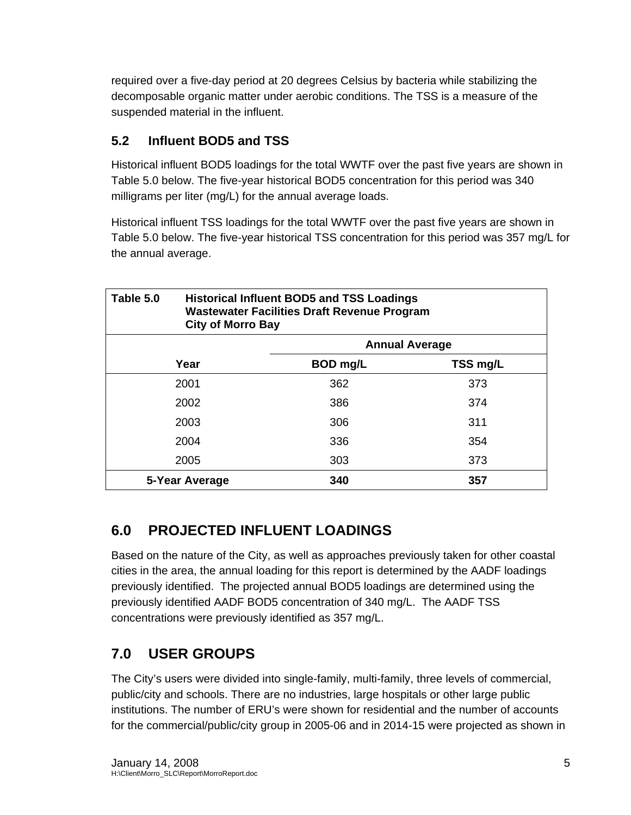required over a five-day period at 20 degrees Celsius by bacteria while stabilizing the decomposable organic matter under aerobic conditions. The TSS is a measure of the suspended material in the influent.

## **5.2 Influent BOD5 and TSS**

Historical influent BOD5 loadings for the total WWTF over the past five years are shown in Table 5.0 below. The five-year historical BOD5 concentration for this period was 340 milligrams per liter (mg/L) for the annual average loads.

Historical influent TSS loadings for the total WWTF over the past five years are shown in Table 5.0 below. The five-year historical TSS concentration for this period was 357 mg/L for the annual average.

| Table 5.0      | <b>Historical Influent BOD5 and TSS Loadings</b><br><b>Wastewater Facilities Draft Revenue Program</b><br><b>City of Morro Bay</b> |                       |  |  |
|----------------|------------------------------------------------------------------------------------------------------------------------------------|-----------------------|--|--|
|                |                                                                                                                                    | <b>Annual Average</b> |  |  |
| Year           | BOD mg/L                                                                                                                           | TSS mg/L              |  |  |
| 2001           | 362                                                                                                                                | 373                   |  |  |
| 2002           | 386                                                                                                                                | 374                   |  |  |
| 2003           | 306                                                                                                                                | 311                   |  |  |
| 2004           | 336                                                                                                                                | 354                   |  |  |
| 2005           | 303                                                                                                                                | 373                   |  |  |
| 5-Year Average | 340                                                                                                                                | 357                   |  |  |

## **6.0 PROJECTED INFLUENT LOADINGS**

Based on the nature of the City, as well as approaches previously taken for other coastal cities in the area, the annual loading for this report is determined by the AADF loadings previously identified. The projected annual BOD5 loadings are determined using the previously identified AADF BOD5 concentration of 340 mg/L. The AADF TSS concentrations were previously identified as 357 mg/L.

## **7.0 USER GROUPS**

The City's users were divided into single-family, multi-family, three levels of commercial, public/city and schools. There are no industries, large hospitals or other large public institutions. The number of ERU's were shown for residential and the number of accounts for the commercial/public/city group in 2005-06 and in 2014-15 were projected as shown in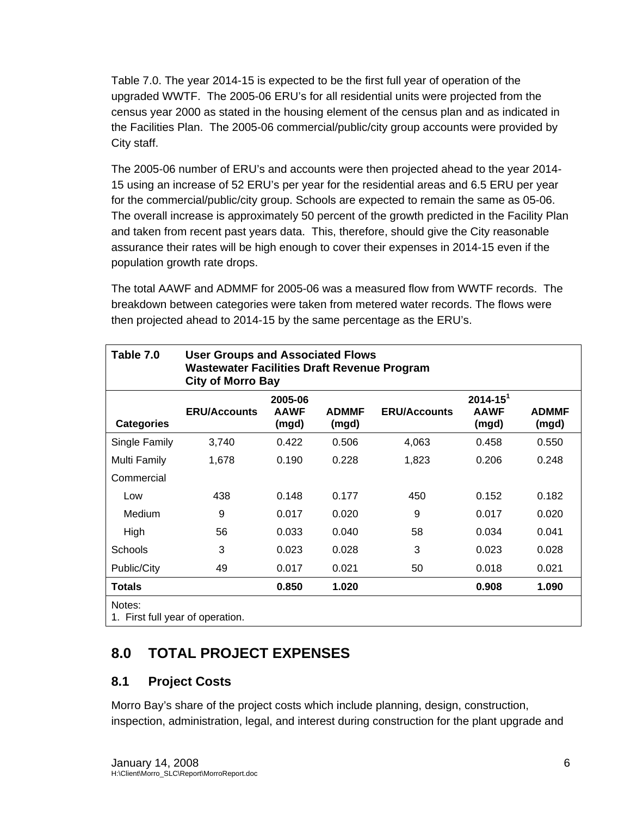Table 7.0. The year 2014-15 is expected to be the first full year of operation of the upgraded WWTF. The 2005-06 ERU's for all residential units were projected from the census year 2000 as stated in the housing element of the census plan and as indicated in the Facilities Plan. The 2005-06 commercial/public/city group accounts were provided by City staff.

The 2005-06 number of ERU's and accounts were then projected ahead to the year 2014- 15 using an increase of 52 ERU's per year for the residential areas and 6.5 ERU per year for the commercial/public/city group. Schools are expected to remain the same as 05-06. The overall increase is approximately 50 percent of the growth predicted in the Facility Plan and taken from recent past years data. This, therefore, should give the City reasonable assurance their rates will be high enough to cover their expenses in 2014-15 even if the population growth rate drops.

The total AAWF and ADMMF for 2005-06 was a measured flow from WWTF records. The breakdown between categories were taken from metered water records. The flows were then projected ahead to 2014-15 by the same percentage as the ERU's.

| Table 7.0                                  | <b>User Groups and Associated Flows</b><br><b>Wastewater Facilities Draft Revenue Program</b><br><b>City of Morro Bay</b> |                                 |                       |                     |                                         |                       |
|--------------------------------------------|---------------------------------------------------------------------------------------------------------------------------|---------------------------------|-----------------------|---------------------|-----------------------------------------|-----------------------|
| <b>Categories</b>                          | <b>ERU/Accounts</b>                                                                                                       | 2005-06<br><b>AAWF</b><br>(mgd) | <b>ADMMF</b><br>(mgd) | <b>ERU/Accounts</b> | $2014 - 15^{1}$<br><b>AAWF</b><br>(mgd) | <b>ADMMF</b><br>(mgd) |
| Single Family                              | 3,740                                                                                                                     | 0.422                           | 0.506                 | 4,063               | 0.458                                   | 0.550                 |
| Multi Family                               | 1,678                                                                                                                     | 0.190                           | 0.228                 | 1,823               | 0.206                                   | 0.248                 |
| Commercial                                 |                                                                                                                           |                                 |                       |                     |                                         |                       |
| Low                                        | 438                                                                                                                       | 0.148                           | 0.177                 | 450                 | 0.152                                   | 0.182                 |
| Medium                                     | 9                                                                                                                         | 0.017                           | 0.020                 | 9                   | 0.017                                   | 0.020                 |
| High                                       | 56                                                                                                                        | 0.033                           | 0.040                 | 58                  | 0.034                                   | 0.041                 |
| <b>Schools</b>                             | 3                                                                                                                         | 0.023                           | 0.028                 | 3                   | 0.023                                   | 0.028                 |
| Public/City                                | 49                                                                                                                        | 0.017                           | 0.021                 | 50                  | 0.018                                   | 0.021                 |
| <b>Totals</b>                              |                                                                                                                           | 0.850                           | 1.020                 |                     | 0.908                                   | 1.090                 |
| Notes:<br>1. First full year of operation. |                                                                                                                           |                                 |                       |                     |                                         |                       |

## **8.0 TOTAL PROJECT EXPENSES**

## **8.1 Project Costs**

Morro Bay's share of the project costs which include planning, design, construction, inspection, administration, legal, and interest during construction for the plant upgrade and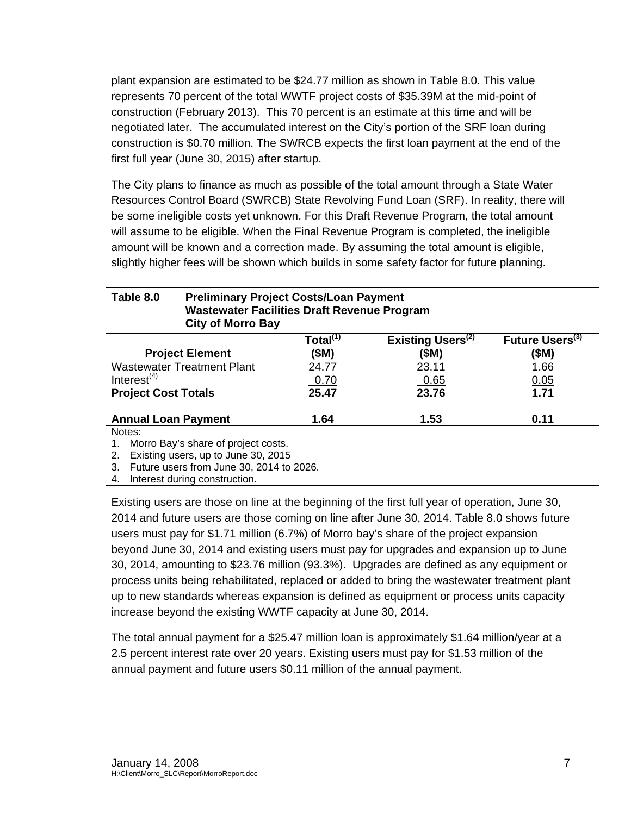plant expansion are estimated to be \$24.77 million as shown in Table 8.0. This value represents 70 percent of the total WWTF project costs of \$35.39M at the mid-point of construction (February 2013). This 70 percent is an estimate at this time and will be negotiated later. The accumulated interest on the City's portion of the SRF loan during construction is \$0.70 million. The SWRCB expects the first loan payment at the end of the first full year (June 30, 2015) after startup.

The City plans to finance as much as possible of the total amount through a State Water Resources Control Board (SWRCB) State Revolving Fund Loan (SRF). In reality, there will be some ineligible costs yet unknown. For this Draft Revenue Program, the total amount will assume to be eligible. When the Final Revenue Program is completed, the ineligible amount will be known and a correction made. By assuming the total amount is eligible, slightly higher fees will be shown which builds in some safety factor for future planning.

| Table 8.0                                 | <b>Preliminary Project Costs/Loan Payment</b><br><b>Wastewater Facilities Draft Revenue Program</b><br><b>City of Morro Bay</b> |                |                               |                             |  |  |
|-------------------------------------------|---------------------------------------------------------------------------------------------------------------------------------|----------------|-------------------------------|-----------------------------|--|--|
|                                           |                                                                                                                                 | Total $^{(1)}$ | Existing Users <sup>(2)</sup> | Future Users <sup>(3)</sup> |  |  |
| <b>Project Element</b>                    |                                                                                                                                 | (\$M)          | (\$M)                         | (\$M)                       |  |  |
| <b>Wastewater Treatment Plant</b>         |                                                                                                                                 | 24.77          | 23.11                         | 1.66                        |  |  |
| Interest $(4)$                            |                                                                                                                                 | 0.70           | 0.65                          | 0.05                        |  |  |
| <b>Project Cost Totals</b>                |                                                                                                                                 | 25.47          | 23.76                         | 1.71                        |  |  |
| <b>Annual Loan Payment</b>                |                                                                                                                                 | 1.64           | 1.53                          | 0.11                        |  |  |
| Notes:                                    |                                                                                                                                 |                |                               |                             |  |  |
| Morro Bay's share of project costs.<br>1. |                                                                                                                                 |                |                               |                             |  |  |
| Existing users, up to June 30, 2015<br>2. |                                                                                                                                 |                |                               |                             |  |  |
|                                           | 3. Future users from June 30, 2014 to 2026.                                                                                     |                |                               |                             |  |  |

4. Interest during construction.

Existing users are those on line at the beginning of the first full year of operation, June 30, 2014 and future users are those coming on line after June 30, 2014. Table 8.0 shows future users must pay for \$1.71 million (6.7%) of Morro bay's share of the project expansion beyond June 30, 2014 and existing users must pay for upgrades and expansion up to June 30, 2014, amounting to \$23.76 million (93.3%). Upgrades are defined as any equipment or process units being rehabilitated, replaced or added to bring the wastewater treatment plant up to new standards whereas expansion is defined as equipment or process units capacity increase beyond the existing WWTF capacity at June 30, 2014.

The total annual payment for a \$25.47 million loan is approximately \$1.64 million/year at a 2.5 percent interest rate over 20 years. Existing users must pay for \$1.53 million of the annual payment and future users \$0.11 million of the annual payment.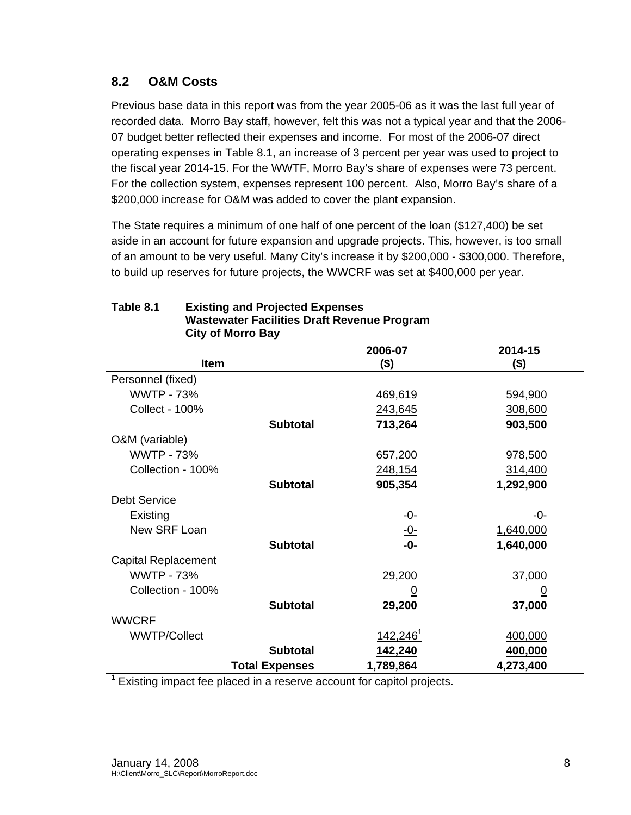## **8.2 O&M Costs**

Previous base data in this report was from the year 2005-06 as it was the last full year of recorded data. Morro Bay staff, however, felt this was not a typical year and that the 2006- 07 budget better reflected their expenses and income. For most of the 2006-07 direct operating expenses in Table 8.1, an increase of 3 percent per year was used to project to the fiscal year 2014-15. For the WWTF, Morro Bay's share of expenses were 73 percent. For the collection system, expenses represent 100 percent. Also, Morro Bay's share of a \$200,000 increase for O&M was added to cover the plant expansion.

The State requires a minimum of one half of one percent of the loan (\$127,400) be set aside in an account for future expansion and upgrade projects. This, however, is too small of an amount to be very useful. Many City's increase it by \$200,000 - \$300,000. Therefore, to build up reserves for future projects, the WWCRF was set at \$400,000 per year.

| Table 8.1                                                             | <b>Existing and Projected Expenses</b><br><b>Wastewater Facilities Draft Revenue Program</b><br><b>City of Morro Bay</b> |                       |                        |                    |  |  |
|-----------------------------------------------------------------------|--------------------------------------------------------------------------------------------------------------------------|-----------------------|------------------------|--------------------|--|--|
|                                                                       |                                                                                                                          |                       |                        |                    |  |  |
|                                                                       | <b>Item</b>                                                                                                              |                       | 2006-07<br>$($ \$)     | 2014-15<br>$($ \$) |  |  |
| Personnel (fixed)                                                     |                                                                                                                          |                       |                        |                    |  |  |
| <b>WWTP - 73%</b>                                                     |                                                                                                                          |                       | 469,619                | 594,900            |  |  |
|                                                                       |                                                                                                                          |                       |                        |                    |  |  |
| <b>Collect - 100%</b>                                                 |                                                                                                                          |                       | 243,645                | 308,600            |  |  |
|                                                                       |                                                                                                                          | <b>Subtotal</b>       | 713,264                | 903,500            |  |  |
| O&M (variable)                                                        |                                                                                                                          |                       |                        |                    |  |  |
| <b>WWTP - 73%</b>                                                     |                                                                                                                          |                       | 657,200                | 978,500            |  |  |
| Collection - 100%                                                     |                                                                                                                          |                       | 248,154                | 314,400            |  |  |
|                                                                       |                                                                                                                          | <b>Subtotal</b>       | 905,354                | 1,292,900          |  |  |
| <b>Debt Service</b>                                                   |                                                                                                                          |                       |                        |                    |  |  |
| Existing                                                              |                                                                                                                          |                       | -0-                    | -0-                |  |  |
| New SRF Loan                                                          |                                                                                                                          |                       | <u>-0-</u>             | 1,640,000          |  |  |
|                                                                       |                                                                                                                          | <b>Subtotal</b>       | $-0-$                  | 1,640,000          |  |  |
| <b>Capital Replacement</b>                                            |                                                                                                                          |                       |                        |                    |  |  |
| <b>WWTP - 73%</b>                                                     |                                                                                                                          |                       | 29,200                 | 37,000             |  |  |
| Collection - 100%                                                     |                                                                                                                          |                       | <u>0</u>               | <u>0</u>           |  |  |
|                                                                       |                                                                                                                          | <b>Subtotal</b>       | 29,200                 | 37,000             |  |  |
| <b>WWCRF</b>                                                          |                                                                                                                          |                       |                        |                    |  |  |
| <b>WWTP/Collect</b>                                                   |                                                                                                                          |                       | $142,246$ <sup>1</sup> | 400,000            |  |  |
|                                                                       |                                                                                                                          | <b>Subtotal</b>       | 142,240                | 400,000            |  |  |
|                                                                       |                                                                                                                          | <b>Total Expenses</b> | 1,789,864              | 4,273,400          |  |  |
| Existing impact fee placed in a reserve account for capitol projects. |                                                                                                                          |                       |                        |                    |  |  |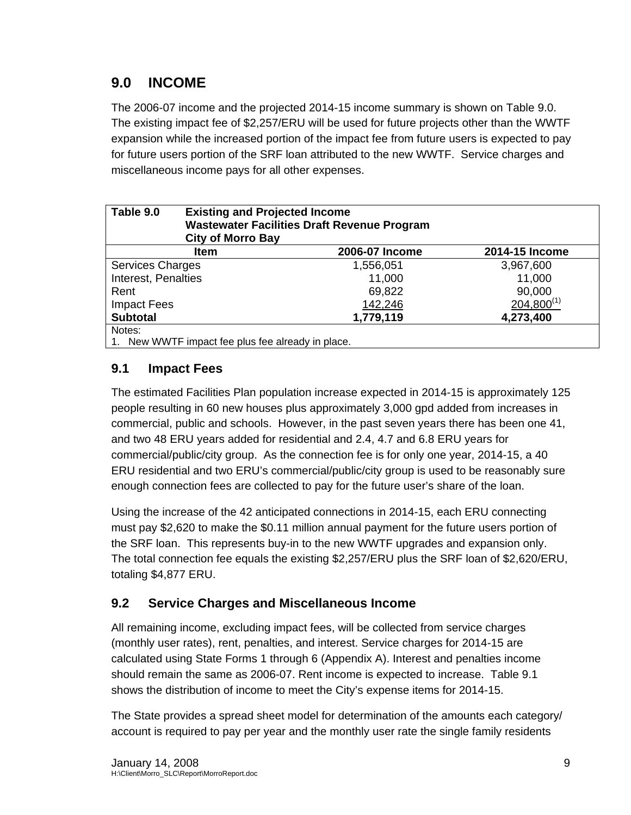## **9.0 INCOME**

The 2006-07 income and the projected 2014-15 income summary is shown on Table 9.0. The existing impact fee of \$2,257/ERU will be used for future projects other than the WWTF expansion while the increased portion of the impact fee from future users is expected to pay for future users portion of the SRF loan attributed to the new WWTF. Service charges and miscellaneous income pays for all other expenses.

| Table 9.0           | <b>Existing and Projected Income</b><br><b>Wastewater Facilities Draft Revenue Program</b><br><b>City of Morro Bay</b> |                |                 |  |  |  |
|---------------------|------------------------------------------------------------------------------------------------------------------------|----------------|-----------------|--|--|--|
|                     | Item                                                                                                                   | 2006-07 Income | 2014-15 Income  |  |  |  |
| Services Charges    |                                                                                                                        | 1,556,051      | 3,967,600       |  |  |  |
| Interest, Penalties |                                                                                                                        | 11,000         | 11,000          |  |  |  |
| Rent                |                                                                                                                        | 69,822         | 90,000          |  |  |  |
| <b>Impact Fees</b>  |                                                                                                                        | 142,246        | $204,800^{(1)}$ |  |  |  |
| <b>Subtotal</b>     |                                                                                                                        | 1,779,119      | 4,273,400       |  |  |  |
| Notes:              |                                                                                                                        |                |                 |  |  |  |
|                     | 1. New WWTF impact fee plus fee already in place.                                                                      |                |                 |  |  |  |

## **9.1 Impact Fees**

The estimated Facilities Plan population increase expected in 2014-15 is approximately 125 people resulting in 60 new houses plus approximately 3,000 gpd added from increases in commercial, public and schools. However, in the past seven years there has been one 41, and two 48 ERU years added for residential and 2.4, 4.7 and 6.8 ERU years for commercial/public/city group. As the connection fee is for only one year, 2014-15, a 40 ERU residential and two ERU's commercial/public/city group is used to be reasonably sure enough connection fees are collected to pay for the future user's share of the loan.

Using the increase of the 42 anticipated connections in 2014-15, each ERU connecting must pay \$2,620 to make the \$0.11 million annual payment for the future users portion of the SRF loan. This represents buy-in to the new WWTF upgrades and expansion only. The total connection fee equals the existing \$2,257/ERU plus the SRF loan of \$2,620/ERU, totaling \$4,877 ERU.

## **9.2 Service Charges and Miscellaneous Income**

All remaining income, excluding impact fees, will be collected from service charges (monthly user rates), rent, penalties, and interest. Service charges for 2014-15 are calculated using State Forms 1 through 6 (Appendix A). Interest and penalties income should remain the same as 2006-07. Rent income is expected to increase. Table 9.1 shows the distribution of income to meet the City's expense items for 2014-15.

The State provides a spread sheet model for determination of the amounts each category/ account is required to pay per year and the monthly user rate the single family residents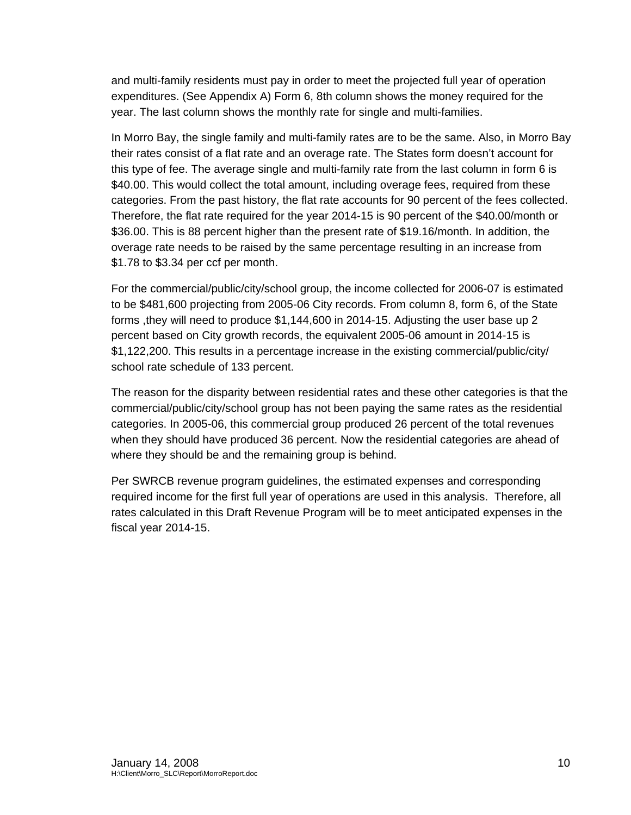and multi-family residents must pay in order to meet the projected full year of operation expenditures. (See Appendix A) Form 6, 8th column shows the money required for the year. The last column shows the monthly rate for single and multi-families.

In Morro Bay, the single family and multi-family rates are to be the same. Also, in Morro Bay their rates consist of a flat rate and an overage rate. The States form doesn't account for this type of fee. The average single and multi-family rate from the last column in form 6 is \$40.00. This would collect the total amount, including overage fees, required from these categories. From the past history, the flat rate accounts for 90 percent of the fees collected. Therefore, the flat rate required for the year 2014-15 is 90 percent of the \$40.00/month or \$36.00. This is 88 percent higher than the present rate of \$19.16/month. In addition, the overage rate needs to be raised by the same percentage resulting in an increase from \$1.78 to \$3.34 per ccf per month.

For the commercial/public/city/school group, the income collected for 2006-07 is estimated to be \$481,600 projecting from 2005-06 City records. From column 8, form 6, of the State forms ,they will need to produce \$1,144,600 in 2014-15. Adjusting the user base up 2 percent based on City growth records, the equivalent 2005-06 amount in 2014-15 is \$1,122,200. This results in a percentage increase in the existing commercial/public/city/ school rate schedule of 133 percent.

The reason for the disparity between residential rates and these other categories is that the commercial/public/city/school group has not been paying the same rates as the residential categories. In 2005-06, this commercial group produced 26 percent of the total revenues when they should have produced 36 percent. Now the residential categories are ahead of where they should be and the remaining group is behind.

Per SWRCB revenue program guidelines, the estimated expenses and corresponding required income for the first full year of operations are used in this analysis. Therefore, all rates calculated in this Draft Revenue Program will be to meet anticipated expenses in the fiscal year 2014-15.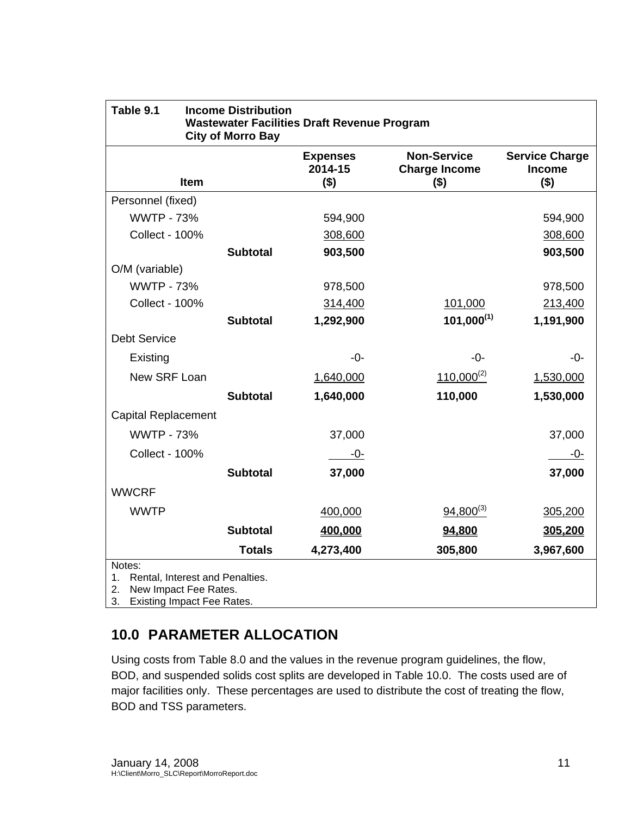| Table 9.1                                                                                                                 | <b>Income Distribution</b><br><b>City of Morro Bay</b> | <b>Wastewater Facilities Draft Revenue Program</b> |                                                       |                                                   |
|---------------------------------------------------------------------------------------------------------------------------|--------------------------------------------------------|----------------------------------------------------|-------------------------------------------------------|---------------------------------------------------|
| Item                                                                                                                      |                                                        | <b>Expenses</b><br>2014-15<br>$($ \$)              | <b>Non-Service</b><br><b>Charge Income</b><br>$($ \$) | <b>Service Charge</b><br><b>Income</b><br>$($ \$) |
| Personnel (fixed)                                                                                                         |                                                        |                                                    |                                                       |                                                   |
| <b>WWTP - 73%</b>                                                                                                         |                                                        | 594,900                                            |                                                       | 594,900                                           |
| <b>Collect - 100%</b>                                                                                                     |                                                        | 308,600                                            |                                                       | 308,600                                           |
|                                                                                                                           | <b>Subtotal</b>                                        | 903,500                                            |                                                       | 903,500                                           |
| O/M (variable)                                                                                                            |                                                        |                                                    |                                                       |                                                   |
| <b>WWTP - 73%</b>                                                                                                         |                                                        | 978,500                                            |                                                       | 978,500                                           |
| <b>Collect - 100%</b>                                                                                                     |                                                        | 314,400                                            | 101,000                                               | 213,400                                           |
|                                                                                                                           | <b>Subtotal</b>                                        | 1,292,900                                          | $101,000^{(1)}$                                       | 1,191,900                                         |
| <b>Debt Service</b>                                                                                                       |                                                        |                                                    |                                                       |                                                   |
| Existing                                                                                                                  |                                                        | $-0-$                                              | $-0-$                                                 | -0-                                               |
| New SRF Loan                                                                                                              |                                                        | 1,640,000                                          | $110,000^{(2)}$                                       | 1,530,000                                         |
|                                                                                                                           | <b>Subtotal</b>                                        | 1,640,000                                          | 110,000                                               | 1,530,000                                         |
| <b>Capital Replacement</b>                                                                                                |                                                        |                                                    |                                                       |                                                   |
| <b>WWTP - 73%</b>                                                                                                         |                                                        | 37,000                                             |                                                       | 37,000                                            |
| <b>Collect - 100%</b>                                                                                                     |                                                        | $-0-$                                              |                                                       | -0-                                               |
|                                                                                                                           | <b>Subtotal</b>                                        | 37,000                                             |                                                       | 37,000                                            |
| <b>WWCRF</b>                                                                                                              |                                                        |                                                    |                                                       |                                                   |
| <b>WWTP</b>                                                                                                               |                                                        | 400,000                                            | $94,800^{(3)}$                                        | 305,200                                           |
|                                                                                                                           | <b>Subtotal</b>                                        | 400,000                                            | 94,800                                                | 305,200                                           |
|                                                                                                                           | <b>Totals</b>                                          | 4,273,400                                          | 305,800                                               | 3,967,600                                         |
| Notes:<br>Rental, Interest and Penalties.<br>1.<br>2.<br>New Impact Fee Rates.<br>3.<br><b>Existing Impact Fee Rates.</b> |                                                        |                                                    |                                                       |                                                   |

## **10.0 PARAMETER ALLOCATION**

Using costs from Table 8.0 and the values in the revenue program guidelines, the flow, BOD, and suspended solids cost splits are developed in Table 10.0. The costs used are of major facilities only. These percentages are used to distribute the cost of treating the flow, BOD and TSS parameters.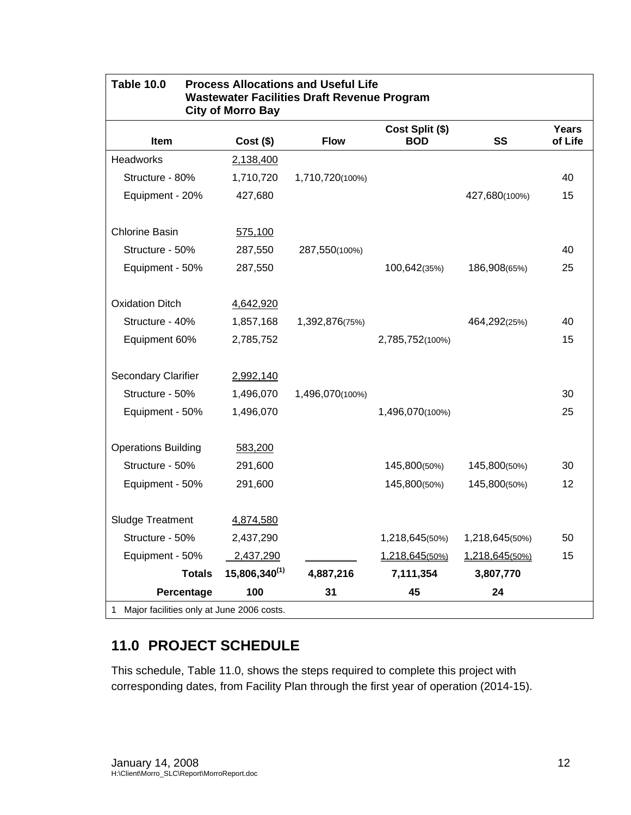| <b>Table 10.0</b><br><b>Process Allocations and Useful Life</b><br><b>Wastewater Facilities Draft Revenue Program</b><br><b>City of Morro Bay</b> |               |                 |                               |                |                         |  |  |  |  |  |
|---------------------------------------------------------------------------------------------------------------------------------------------------|---------------|-----------------|-------------------------------|----------------|-------------------------|--|--|--|--|--|
| Item                                                                                                                                              | $Cost($ \$)   | <b>Flow</b>     | Cost Split (\$)<br><b>BOD</b> | SS             | <b>Years</b><br>of Life |  |  |  |  |  |
| Headworks                                                                                                                                         | 2,138,400     |                 |                               |                |                         |  |  |  |  |  |
| Structure - 80%                                                                                                                                   | 1,710,720     | 1,710,720(100%) |                               |                | 40                      |  |  |  |  |  |
| Equipment - 20%                                                                                                                                   | 427,680       |                 |                               | 427,680(100%)  | 15                      |  |  |  |  |  |
|                                                                                                                                                   |               |                 |                               |                |                         |  |  |  |  |  |
| Chlorine Basin                                                                                                                                    | 575,100       |                 |                               |                |                         |  |  |  |  |  |
| Structure - 50%                                                                                                                                   | 287,550       | 287,550(100%)   |                               |                | 40                      |  |  |  |  |  |
| Equipment - 50%                                                                                                                                   | 287,550       |                 | 100,642(35%)                  | 186,908(65%)   | 25                      |  |  |  |  |  |
| <b>Oxidation Ditch</b>                                                                                                                            | 4,642,920     |                 |                               |                |                         |  |  |  |  |  |
| Structure - 40%                                                                                                                                   | 1,857,168     | 1,392,876(75%)  |                               | 464,292(25%)   | 40                      |  |  |  |  |  |
| Equipment 60%                                                                                                                                     | 2,785,752     |                 | 2,785,752(100%)               |                | 15                      |  |  |  |  |  |
| <b>Secondary Clarifier</b>                                                                                                                        | 2,992,140     |                 |                               |                |                         |  |  |  |  |  |
| Structure - 50%                                                                                                                                   | 1,496,070     | 1,496,070(100%) |                               |                | 30                      |  |  |  |  |  |
| Equipment - 50%                                                                                                                                   | 1,496,070     |                 | 1,496,070(100%)               |                | 25                      |  |  |  |  |  |
| <b>Operations Building</b>                                                                                                                        | 583,200       |                 |                               |                |                         |  |  |  |  |  |
| Structure - 50%                                                                                                                                   | 291,600       |                 | 145,800(50%)                  | 145,800(50%)   | 30                      |  |  |  |  |  |
| Equipment - 50%                                                                                                                                   | 291,600       |                 | 145,800(50%)                  | 145,800(50%)   | 12                      |  |  |  |  |  |
| Sludge Treatment                                                                                                                                  | 4,874,580     |                 |                               |                |                         |  |  |  |  |  |
| Structure - 50%                                                                                                                                   | 2,437,290     |                 | 1,218,645(50%)                | 1,218,645(50%) | 50                      |  |  |  |  |  |
| Equipment - 50%                                                                                                                                   | 2,437,290     |                 | 1,218,645(50%)                | 1,218,645(50%) | 15                      |  |  |  |  |  |
| <b>Totals</b>                                                                                                                                     | 15,806,340(1) | 4,887,216       | 7,111,354                     | 3,807,770      |                         |  |  |  |  |  |
| Percentage                                                                                                                                        | 100           | 31              | 45                            | 24             |                         |  |  |  |  |  |

## **11.0 PROJECT SCHEDULE**

This schedule, Table 11.0, shows the steps required to complete this project with corresponding dates, from Facility Plan through the first year of operation (2014-15).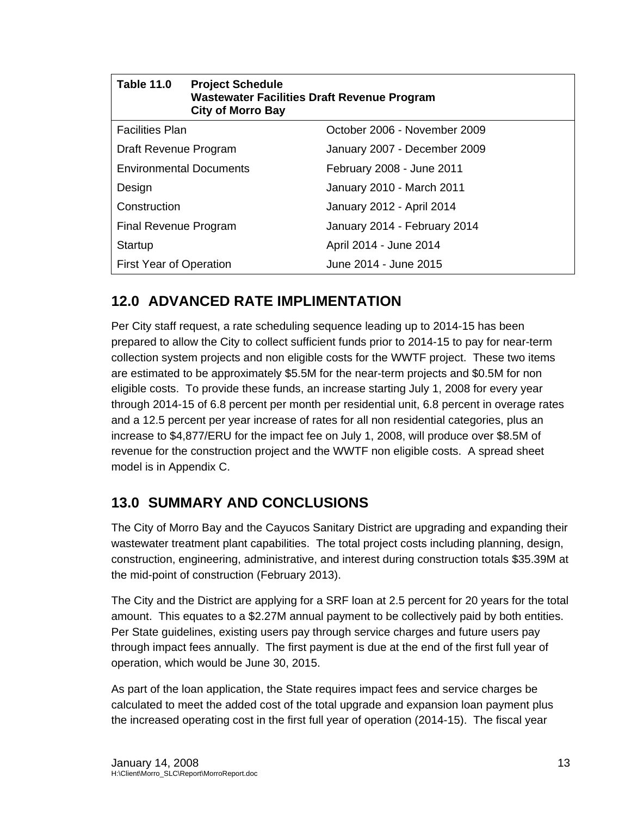| <b>Table 11.0</b>              | <b>Project Schedule</b><br><b>Wastewater Facilities Draft Revenue Program</b><br><b>City of Morro Bay</b> |                              |  |  |  |  |  |
|--------------------------------|-----------------------------------------------------------------------------------------------------------|------------------------------|--|--|--|--|--|
| <b>Facilities Plan</b>         |                                                                                                           | October 2006 - November 2009 |  |  |  |  |  |
| Draft Revenue Program          |                                                                                                           | January 2007 - December 2009 |  |  |  |  |  |
| <b>Environmental Documents</b> |                                                                                                           | February 2008 - June 2011    |  |  |  |  |  |
| Design                         |                                                                                                           | January 2010 - March 2011    |  |  |  |  |  |
| Construction                   |                                                                                                           | January 2012 - April 2014    |  |  |  |  |  |
| Final Revenue Program          |                                                                                                           | January 2014 - February 2014 |  |  |  |  |  |
| Startup                        |                                                                                                           | April 2014 - June 2014       |  |  |  |  |  |
| <b>First Year of Operation</b> |                                                                                                           | June 2014 - June 2015        |  |  |  |  |  |

## **12.0 ADVANCED RATE IMPLIMENTATION**

Per City staff request, a rate scheduling sequence leading up to 2014-15 has been prepared to allow the City to collect sufficient funds prior to 2014-15 to pay for near-term collection system projects and non eligible costs for the WWTF project. These two items are estimated to be approximately \$5.5M for the near-term projects and \$0.5M for non eligible costs. To provide these funds, an increase starting July 1, 2008 for every year through 2014-15 of 6.8 percent per month per residential unit, 6.8 percent in overage rates and a 12.5 percent per year increase of rates for all non residential categories, plus an increase to \$4,877/ERU for the impact fee on July 1, 2008, will produce over \$8.5M of revenue for the construction project and the WWTF non eligible costs. A spread sheet model is in Appendix C.

## **13.0 SUMMARY AND CONCLUSIONS**

The City of Morro Bay and the Cayucos Sanitary District are upgrading and expanding their wastewater treatment plant capabilities. The total project costs including planning, design, construction, engineering, administrative, and interest during construction totals \$35.39M at the mid-point of construction (February 2013).

The City and the District are applying for a SRF loan at 2.5 percent for 20 years for the total amount. This equates to a \$2.27M annual payment to be collectively paid by both entities. Per State guidelines, existing users pay through service charges and future users pay through impact fees annually. The first payment is due at the end of the first full year of operation, which would be June 30, 2015.

As part of the loan application, the State requires impact fees and service charges be calculated to meet the added cost of the total upgrade and expansion loan payment plus the increased operating cost in the first full year of operation (2014-15). The fiscal year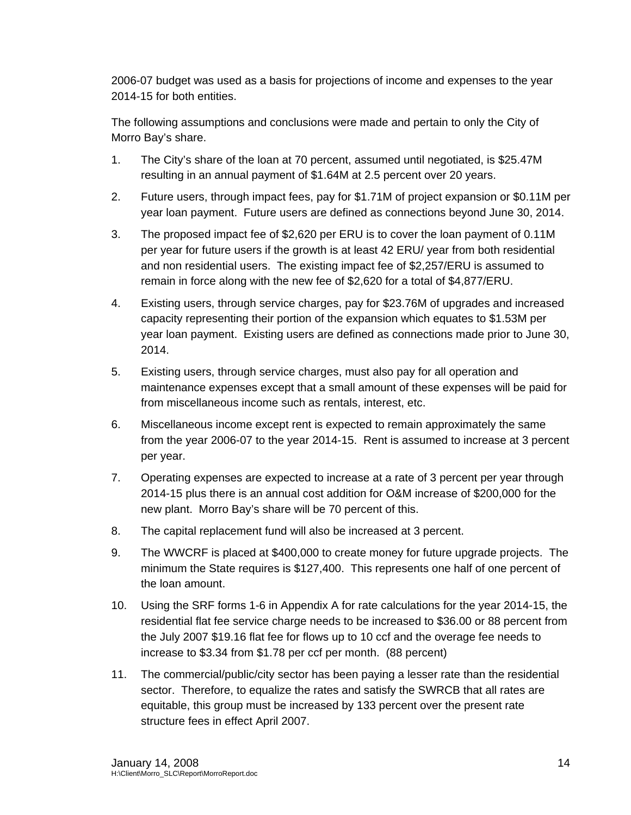2006-07 budget was used as a basis for projections of income and expenses to the year 2014-15 for both entities.

The following assumptions and conclusions were made and pertain to only the City of Morro Bay's share.

- 1. The City's share of the loan at 70 percent, assumed until negotiated, is \$25.47M resulting in an annual payment of \$1.64M at 2.5 percent over 20 years.
- 2. Future users, through impact fees, pay for \$1.71M of project expansion or \$0.11M per year loan payment. Future users are defined as connections beyond June 30, 2014.
- 3. The proposed impact fee of \$2,620 per ERU is to cover the loan payment of 0.11M per year for future users if the growth is at least 42 ERU/ year from both residential and non residential users. The existing impact fee of \$2,257/ERU is assumed to remain in force along with the new fee of \$2,620 for a total of \$4,877/ERU.
- 4. Existing users, through service charges, pay for \$23.76M of upgrades and increased capacity representing their portion of the expansion which equates to \$1.53M per year loan payment. Existing users are defined as connections made prior to June 30, 2014.
- 5. Existing users, through service charges, must also pay for all operation and maintenance expenses except that a small amount of these expenses will be paid for from miscellaneous income such as rentals, interest, etc.
- 6. Miscellaneous income except rent is expected to remain approximately the same from the year 2006-07 to the year 2014-15. Rent is assumed to increase at 3 percent per year.
- 7. Operating expenses are expected to increase at a rate of 3 percent per year through 2014-15 plus there is an annual cost addition for O&M increase of \$200,000 for the new plant. Morro Bay's share will be 70 percent of this.
- 8. The capital replacement fund will also be increased at 3 percent.
- 9. The WWCRF is placed at \$400,000 to create money for future upgrade projects. The minimum the State requires is \$127,400. This represents one half of one percent of the loan amount.
- 10. Using the SRF forms 1-6 in Appendix A for rate calculations for the year 2014-15, the residential flat fee service charge needs to be increased to \$36.00 or 88 percent from the July 2007 \$19.16 flat fee for flows up to 10 ccf and the overage fee needs to increase to \$3.34 from \$1.78 per ccf per month. (88 percent)
- 11. The commercial/public/city sector has been paying a lesser rate than the residential sector. Therefore, to equalize the rates and satisfy the SWRCB that all rates are equitable, this group must be increased by 133 percent over the present rate structure fees in effect April 2007.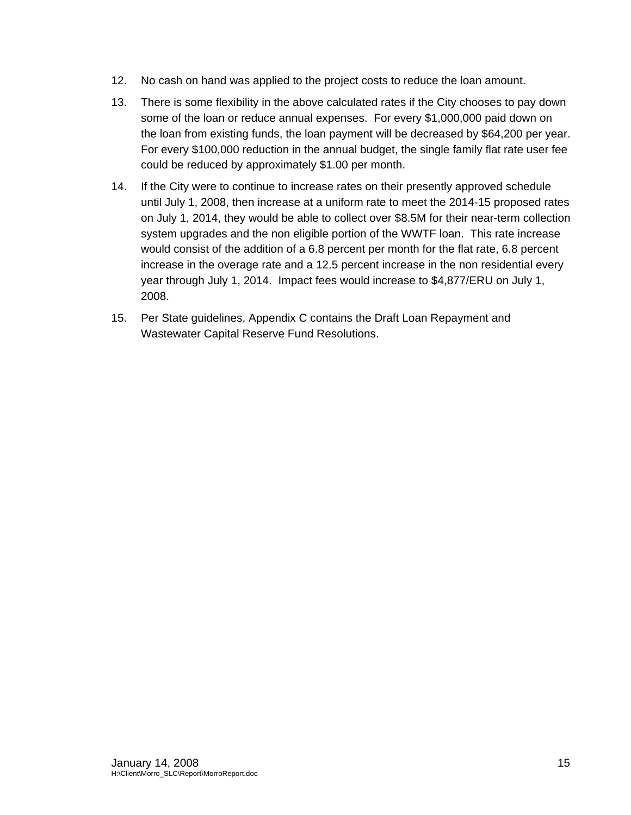- 12. No cash on hand was applied to the project costs to reduce the loan amount.
- 13. There is some flexibility in the above calculated rates if the City chooses to pay down some of the loan or reduce annual expenses. For every \$1,000,000 paid down on the loan from existing funds, the loan payment will be decreased by \$64,200 per year. For every \$100,000 reduction in the annual budget, the single family flat rate user fee could be reduced by approximately \$1.00 per month.
- 14. If the City were to continue to increase rates on their presently approved schedule until July 1, 2008, then increase at a uniform rate to meet the 2014-15 proposed rates on July 1, 2014, they would be able to collect over \$8.5M for their near-term collection system upgrades and the non eligible portion of the WWTF loan. This rate increase would consist of the addition of a 6.8 percent per month for the flat rate, 6.8 percent increase in the overage rate and a 12.5 percent increase in the non residential every year through July 1, 2014. Impact fees would increase to \$4,877/ERU on July 1, 2008.
- 15. Per State guidelines, Appendix C contains the Draft Loan Repayment and Wastewater Capital Reserve Fund Resolutions.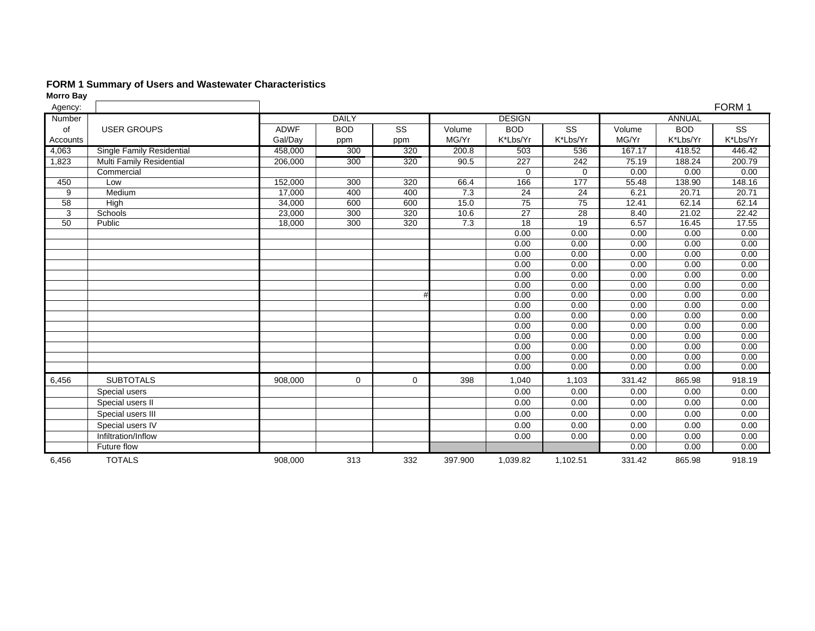#### **FORM 1 Summary of Users and Wastewater Characteristics**

| Agency:  |                           |             |              |             |         |                 |                 |              |               | FORM 1       |
|----------|---------------------------|-------------|--------------|-------------|---------|-----------------|-----------------|--------------|---------------|--------------|
| Number   |                           |             | <b>DAILY</b> |             |         | <b>DESIGN</b>   |                 |              | <b>ANNUAL</b> |              |
| of       | <b>USER GROUPS</b>        | <b>ADWF</b> | <b>BOD</b>   | <b>SS</b>   | Volume  | <b>BOD</b>      | SS              | Volume       | <b>BOD</b>    | <b>SS</b>    |
| Accounts |                           | Gal/Day     | ppm          | ppm         | MG/Yr   | K*Lbs/Yr        | K*Lbs/Yr        | MG/Yr        | K*Lbs/Yr      | K*Lbs/Yr     |
| 4,063    | Single Family Residential | 458,000     | 300          | 320         | 200.8   | 503             | 536             | 167.17       | 418.52        | 446.42       |
| 1,823    | Multi Family Residential  | 206,000     | 300          | 320         | 90.5    | 227             | 242             | 75.19        | 188.24        | 200.79       |
|          | Commercial                |             |              |             |         | $\Omega$        | $\Omega$        | 0.00         | 0.00          | 0.00         |
| 450      | Low                       | 152,000     | 300          | 320         | 66.4    | 166             | 177             | 55.48        | 138.90        | 148.16       |
| 9        | Medium                    | 17,000      | 400          | 400         | 7.3     | 24              | 24              | 6.21         | 20.71         | 20.71        |
| 58       | High                      | 34,000      | 600          | 600         | 15.0    | 75              | $\overline{75}$ | 12.41        | 62.14         | 62.14        |
| 3        | Schools                   | 23,000      | 300          | 320         | 10.6    | 27              | 28              | 8.40         | 21.02         | 22.42        |
| 50       | Public                    | 18,000      | 300          | 320         | 7.3     | $\overline{18}$ | 19              | 6.57         | 16.45         | 17.55        |
|          |                           |             |              |             |         | 0.00            | 0.00            | 0.00         | 0.00          | 0.00         |
|          |                           |             |              |             |         | 0.00            | 0.00            | 0.00         | 0.00          | 0.00         |
|          |                           |             |              |             |         | 0.00            | 0.00            | 0.00         | 0.00          | 0.00         |
|          |                           |             |              |             |         | 0.00            | 0.00            | 0.00         | 0.00          | 0.00         |
|          |                           |             |              |             |         | 0.00            | 0.00            | 0.00         | 0.00          | 0.00         |
|          |                           |             |              |             |         | 0.00            | 0.00            | 0.00         | 0.00          | 0.00         |
|          |                           |             |              |             |         | 0.00            | 0.00            | 0.00         | 0.00          | 0.00         |
|          |                           |             |              |             |         | 0.00            | 0.00            | 0.00         | 0.00          | 0.00         |
|          |                           |             |              |             |         | 0.00            | 0.00            | 0.00         | 0.00          | 0.00         |
|          |                           |             |              |             |         | 0.00            | 0.00            | 0.00         | 0.00          | 0.00         |
|          |                           |             |              |             |         | 0.00            | 0.00            | 0.00         | 0.00          | 0.00         |
|          |                           |             |              |             |         | 0.00            | 0.00            | 0.00         | 0.00          | 0.00         |
|          |                           |             |              |             |         | 0.00<br>0.00    | 0.00<br>0.00    | 0.00<br>0.00 | 0.00          | 0.00<br>0.00 |
|          |                           |             |              |             |         |                 |                 |              | 0.00          |              |
| 6,456    | <b>SUBTOTALS</b>          | 908,000     | 0            | $\mathbf 0$ | 398     | 1,040           | 1,103           | 331.42       | 865.98        | 918.19       |
|          | Special users             |             |              |             |         | 0.00            | 0.00            | 0.00         | 0.00          | 0.00         |
|          | Special users II          |             |              |             |         | 0.00            | 0.00            | 0.00         | 0.00          | 0.00         |
|          | Special users III         |             |              |             |         | 0.00            | 0.00            | 0.00         | 0.00          | 0.00         |
|          | Special users IV          |             |              |             |         | 0.00            | 0.00            | 0.00         | 0.00          | 0.00         |
|          | Infiltration/Inflow       |             |              |             |         | 0.00            | 0.00            | 0.00         | 0.00          | 0.00         |
|          | Future flow               |             |              |             |         |                 |                 | 0.00         | 0.00          | 0.00         |
| 6,456    | <b>TOTALS</b>             | 908,000     | 313          | 332         | 397.900 | 1,039.82        | 1,102.51        | 331.42       | 865.98        | 918.19       |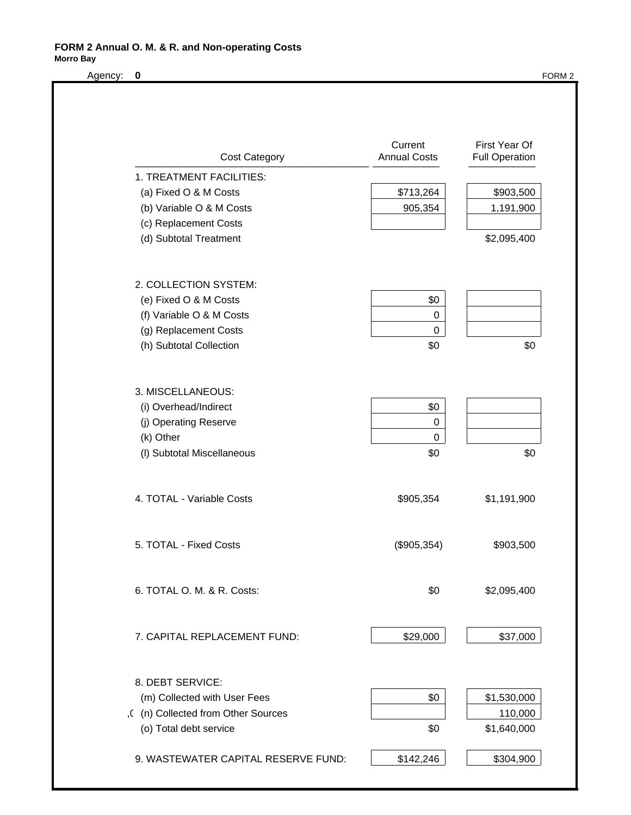#### **FORM 2 Annual O. M. & R. and Non-operating Costs Morro Bay**

Agency: 0 FORM 2

| <b>Cost Category</b>                | Current<br><b>Annual Costs</b> | First Year Of<br><b>Full Operation</b> |
|-------------------------------------|--------------------------------|----------------------------------------|
| 1. TREATMENT FACILITIES:            |                                |                                        |
| (a) Fixed O & M Costs               | \$713,264                      | \$903,500                              |
| (b) Variable O & M Costs            | 905,354                        | 1,191,900                              |
| (c) Replacement Costs               |                                |                                        |
| (d) Subtotal Treatment              |                                | \$2,095,400                            |
| 2. COLLECTION SYSTEM:               |                                |                                        |
| (e) Fixed O & M Costs               | \$0                            |                                        |
| (f) Variable O & M Costs            | $\boldsymbol{0}$               |                                        |
| (g) Replacement Costs               | $\pmb{0}$                      |                                        |
| (h) Subtotal Collection             | \$0                            | \$0                                    |
|                                     |                                |                                        |
| 3. MISCELLANEOUS:                   |                                |                                        |
| (i) Overhead/Indirect               | \$0                            |                                        |
| (j) Operating Reserve               | 0<br>$\pmb{0}$                 |                                        |
| (k) Other                           |                                |                                        |
| (I) Subtotal Miscellaneous          | \$0                            | \$0                                    |
| 4. TOTAL - Variable Costs           | \$905,354                      | \$1,191,900                            |
| 5. TOTAL - Fixed Costs              | (\$905,354)                    | \$903,500                              |
| 6. TOTAL O. M. & R. Costs:          | \$0                            | \$2,095,400                            |
| 7. CAPITAL REPLACEMENT FUND:        | \$29,000                       | \$37,000                               |
| 8. DEBT SERVICE:                    |                                |                                        |
| (m) Collected with User Fees        | \$0                            | \$1,530,000                            |
| ,( (n) Collected from Other Sources |                                | 110,000                                |
| (o) Total debt service              | \$0                            | \$1,640,000                            |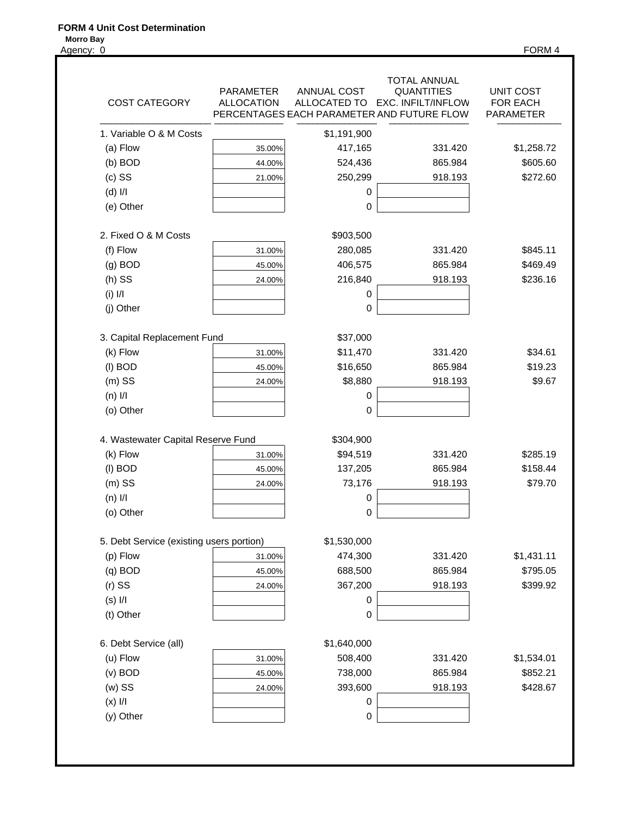#### **FORM 4 Unit Cost Determination**

Agency: 0 FORM 4

| <b>COST CATEGORY</b>                     | <b>PARAMETER</b><br><b>ALLOCATION</b> | <b>ANNUAL COST</b><br>ALLOCATED TO | TOTAL ANNUAL<br><b>QUANTITIES</b><br><b>EXC. INFILT/INFLOW</b><br>PERCENTAGES EACH PARAMETER AND FUTURE FLOW | UNIT COST<br>FOR EACH<br><b>PARAMETER</b> |
|------------------------------------------|---------------------------------------|------------------------------------|--------------------------------------------------------------------------------------------------------------|-------------------------------------------|
| 1. Variable O & M Costs                  |                                       | \$1,191,900                        |                                                                                                              |                                           |
| (a) Flow                                 | 35.00%                                | 417,165                            | 331.420                                                                                                      | \$1,258.72                                |
| $(b)$ BOD                                | 44.00%                                | 524,436                            | 865.984                                                                                                      | \$605.60                                  |
| $(c)$ SS                                 | 21.00%                                | 250,299                            | 918.193                                                                                                      | \$272.60                                  |
| $(d)$ $I/I$                              |                                       | 0                                  |                                                                                                              |                                           |
| (e) Other                                |                                       | 0                                  |                                                                                                              |                                           |
| 2. Fixed O & M Costs                     |                                       | \$903,500                          |                                                                                                              |                                           |
| (f) Flow                                 | 31.00%                                | 280,085                            | 331.420                                                                                                      | \$845.11                                  |
| $(g)$ BOD                                | 45.00%                                | 406,575                            | 865.984                                                                                                      | \$469.49                                  |
| $(h)$ SS                                 | 24.00%                                | 216,840                            | 918.193                                                                                                      | \$236.16                                  |
| $(i)$ $1/1$                              |                                       | 0                                  |                                                                                                              |                                           |
| (j) Other                                |                                       | 0                                  |                                                                                                              |                                           |
| 3. Capital Replacement Fund              |                                       | \$37,000                           |                                                                                                              |                                           |
| (k) Flow                                 | 31.00%                                | \$11,470                           | 331.420                                                                                                      | \$34.61                                   |
| (I) BOD                                  | 45.00%                                | \$16,650                           | 865.984                                                                                                      | \$19.23                                   |
| $(m)$ SS                                 | 24.00%                                | \$8,880                            | 918.193                                                                                                      | \$9.67                                    |
| $(n)$ $I/I$                              |                                       | $\pmb{0}$                          |                                                                                                              |                                           |
| (o) Other                                |                                       | $\mathbf 0$                        |                                                                                                              |                                           |
| 4. Wastewater Capital Reserve Fund       |                                       | \$304,900                          |                                                                                                              |                                           |
| (k) Flow                                 | 31.00%                                | \$94,519                           | 331.420                                                                                                      | \$285.19                                  |
| (I) BOD                                  | 45.00%                                | 137,205                            | 865.984                                                                                                      | \$158.44                                  |
| $(m)$ SS                                 | 24.00%                                | 73,176                             | 918.193                                                                                                      | \$79.70                                   |
| $(n)$ $I/I$                              |                                       | $\pmb{0}$                          |                                                                                                              |                                           |
| (o) Other                                |                                       | 0                                  |                                                                                                              |                                           |
| 5. Debt Service (existing users portion) |                                       | \$1,530,000                        |                                                                                                              |                                           |
| (p) Flow                                 | 31.00%                                | 474,300                            | 331.420                                                                                                      | \$1,431.11                                |
| $(q)$ BOD                                | 45.00%                                | 688,500                            | 865.984                                                                                                      | \$795.05                                  |
| $(r)$ SS                                 | 24.00%                                | 367,200                            | 918.193                                                                                                      | \$399.92                                  |
| $(s)$ $I/I$                              |                                       | $\pmb{0}$                          |                                                                                                              |                                           |
| (t) Other                                |                                       | $\mathsf 0$                        |                                                                                                              |                                           |
| 6. Debt Service (all)                    |                                       | \$1,640,000                        |                                                                                                              |                                           |
| (u) Flow                                 | 31.00%                                | 508,400                            | 331.420                                                                                                      | \$1,534.01                                |
| $(v)$ BOD                                | 45.00%                                | 738,000                            | 865.984                                                                                                      | \$852.21                                  |
| $(w)$ SS                                 | 24.00%                                | 393,600                            | 918.193                                                                                                      | \$428.67                                  |
|                                          |                                       | $\pmb{0}$                          |                                                                                                              |                                           |
| $(x)$ $I/I$                              |                                       |                                    |                                                                                                              |                                           |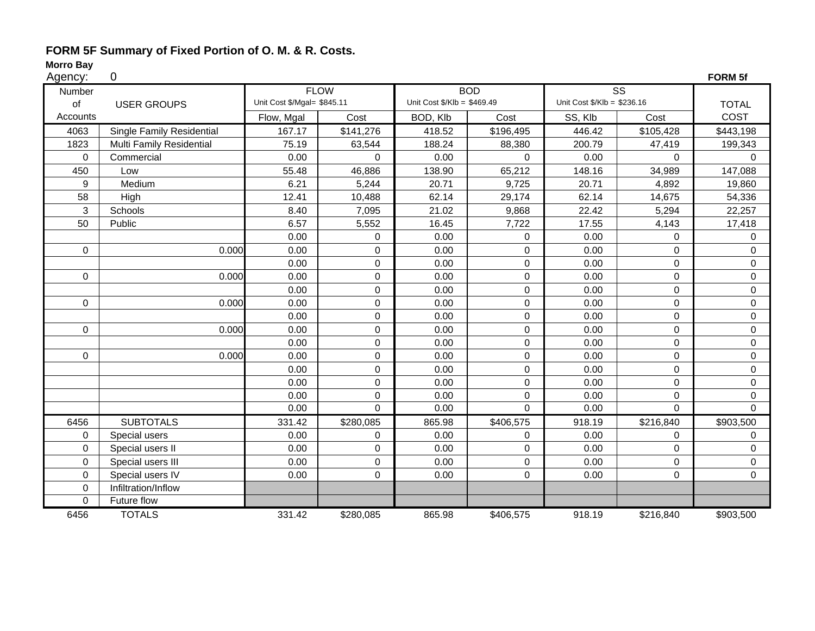#### **FORM 5F Summary of Fixed Portion of O. M. & R. Costs.**

# **Morro Bay**<br>Agency:

| Agency:     | 0                         |                             |                  |                                        |             |                             |                        | FORM 5f        |
|-------------|---------------------------|-----------------------------|------------------|----------------------------------------|-------------|-----------------------------|------------------------|----------------|
| Number      |                           |                             | <b>FLOW</b>      |                                        | <b>BOD</b>  |                             | $\overline{\text{ss}}$ |                |
| of          | <b>USER GROUPS</b>        | Unit Cost \$/Mgal= \$845.11 |                  | Unit Cost $\frac{6}{2}$ Klb = \$469.49 |             | Unit Cost \$/Klb = \$236.16 |                        | <b>TOTAL</b>   |
| Accounts    |                           | Flow, Mgal                  | Cost             | BOD, Klb                               | Cost        | SS, Klb                     | Cost                   | COST           |
| 4063        | Single Family Residential | 167.17                      | \$141,276        | 418.52                                 | \$196,495   | 446.42                      | \$105,428              | \$443,198      |
| 1823        | Multi Family Residential  | 75.19                       | 63,544           | 188.24                                 | 88,380      | 200.79                      | 47,419                 | 199,343        |
| 0           | Commercial                | 0.00                        | $\mathbf 0$      | 0.00                                   | $\Omega$    | 0.00                        | 0                      | $\Omega$       |
| 450         | Low                       | 55.48                       | 46,886           | 138.90                                 | 65,212      | 148.16                      | 34,989                 | 147,088        |
| 9           | Medium                    | 6.21                        | 5,244            | 20.71                                  | 9,725       | 20.71                       | 4,892                  | 19,860         |
| 58          | High                      | 12.41                       | 10,488           | 62.14                                  | 29,174      | 62.14                       | 14,675                 | 54,336         |
| 3           | Schools                   | 8.40                        | 7,095            | 21.02                                  | 9,868       | 22.42                       | 5,294                  | 22,257         |
| 50          | Public                    | 6.57                        | 5,552            | 16.45                                  | 7,722       | 17.55                       | 4,143                  | 17,418         |
|             |                           | 0.00                        | 0                | 0.00                                   | $\mathbf 0$ | 0.00                        | 0                      | 0              |
| 0           | 0.000                     | 0.00                        | 0                | 0.00                                   | $\mathbf 0$ | 0.00                        | 0                      | 0              |
|             |                           | 0.00                        | 0                | 0.00                                   | $\mathbf 0$ | 0.00                        | $\Omega$               | $\Omega$       |
| $\mathbf 0$ | 0.000                     | 0.00                        | $\mathsf 0$      | 0.00                                   | $\mathbf 0$ | 0.00                        | 0                      | $\overline{0}$ |
|             |                           | 0.00                        | 0                | 0.00                                   | $\mathbf 0$ | 0.00                        | 0                      | 0              |
| $\mathbf 0$ | 0.000                     | 0.00                        | $\mathbf 0$      | 0.00                                   | $\Omega$    | 0.00                        | 0                      | $\Omega$       |
|             |                           | 0.00                        | 0                | 0.00                                   | $\mathbf 0$ | 0.00                        | 0                      | 0              |
| 0           | 0.000                     | 0.00                        | $\mathbf 0$      | 0.00                                   | $\mathbf 0$ | 0.00                        | 0                      | 0              |
|             |                           | 0.00                        | $\boldsymbol{0}$ | 0.00                                   | $\mathbf 0$ | 0.00                        | 0                      | $\mathbf{0}$   |
| 0           | 0.000                     | 0.00                        | 0                | 0.00                                   | $\mathbf 0$ | 0.00                        | 0                      | 0              |
|             |                           | 0.00                        | $\mathbf 0$      | 0.00                                   | $\mathbf 0$ | 0.00                        | 0                      | 0              |
|             |                           | 0.00                        | 0                | 0.00                                   | $\mathbf 0$ | 0.00                        | 0                      | 0              |
|             |                           | 0.00                        | 0                | 0.00                                   | $\pmb{0}$   | 0.00                        | 0                      | 0              |
|             |                           | 0.00                        | $\mathbf 0$      | 0.00                                   | $\mathbf 0$ | 0.00                        | 0                      | $\mathbf{0}$   |
| 6456        | <b>SUBTOTALS</b>          | 331.42                      | \$280,085        | 865.98                                 | \$406,575   | 918.19                      | \$216,840              | \$903,500      |
| $\mathbf 0$ | Special users             | 0.00                        | $\mathbf 0$      | 0.00                                   | $\Omega$    | 0.00                        | 0                      | $\Omega$       |
| 0           | Special users II          | 0.00                        | 0                | 0.00                                   | $\Omega$    | 0.00                        | $\Omega$               | $\Omega$       |
| $\mathbf 0$ | Special users III         | 0.00                        | 0                | 0.00                                   | $\mathbf 0$ | 0.00                        | 0                      | 0              |
| 0           | Special users IV          | 0.00                        | 0                | 0.00                                   | $\mathbf 0$ | 0.00                        | 0                      | 0              |
| 0           | Infiltration/Inflow       |                             |                  |                                        |             |                             |                        |                |
| 0           | Future flow               |                             |                  |                                        |             |                             |                        |                |
| 6456        | <b>TOTALS</b>             | 331.42                      | \$280,085        | 865.98                                 | \$406,575   | 918.19                      | \$216,840              | \$903,500      |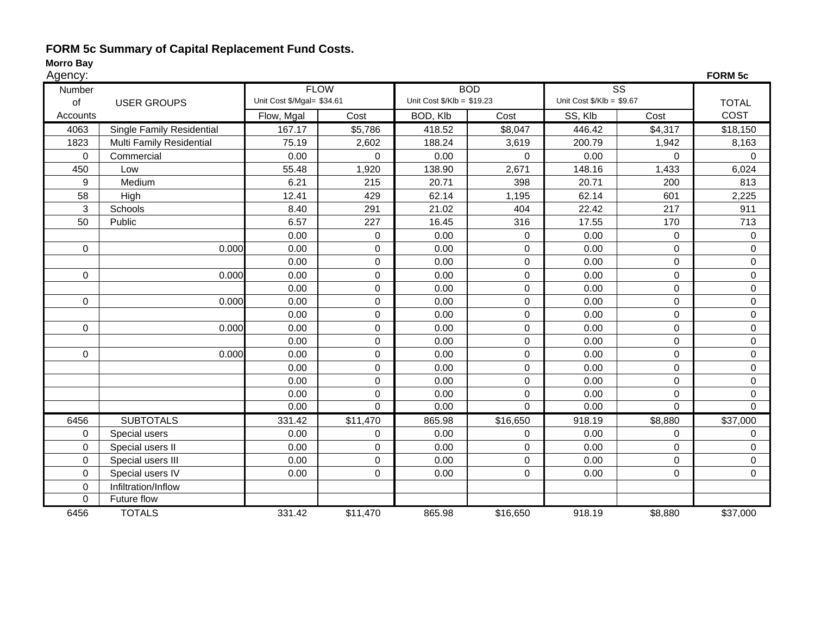#### **FORM 5c Summary of Capital Replacement Fund Costs.**

| Agency:     |                                  |                            |                  |                                       |                  |                                      |             | <b>FORM 5c</b> |
|-------------|----------------------------------|----------------------------|------------------|---------------------------------------|------------------|--------------------------------------|-------------|----------------|
| Number      |                                  |                            | <b>FLOW</b>      |                                       | <b>BOD</b>       | $\overline{\text{ss}}$               |             |                |
| of          | <b>USER GROUPS</b>               | Unit Cost \$/Mgal= \$34.61 |                  | Unit Cost $\frac{6}{2}$ Klb = \$19.23 |                  | Unit Cost $\frac{6}{2}$ Klb = \$9.67 |             | <b>TOTAL</b>   |
| Accounts    |                                  | Flow, Mgal                 | Cost             | BOD, Klb                              | Cost             | SS, Klb                              | Cost        | COST           |
| 4063        | <b>Single Family Residential</b> | 167.17                     | \$5,786          | 418.52                                | \$8,047          | 446.42                               | \$4,317     | \$18,150       |
| 1823        | Multi Family Residential         | 75.19                      | 2,602            | 188.24                                | 3,619            | 200.79                               | 1,942       | 8,163          |
| 0           | Commercial                       | 0.00                       | 0                | 0.00                                  | 0                | 0.00                                 | $\Omega$    | $\mathbf 0$    |
| 450         | Low                              | 55.48                      | 1,920            | 138.90                                | 2,671            | 148.16                               | 1,433       | 6,024          |
| 9           | Medium                           | 6.21                       | 215              | 20.71                                 | 398              | 20.71                                | 200         | 813            |
| 58          | High                             | 12.41                      | 429              | 62.14                                 | 1,195            | 62.14                                | 601         | 2,225          |
| 3           | Schools                          | 8.40                       | 291              | 21.02                                 | 404              | 22.42                                | 217         | 911            |
| 50          | Public                           | 6.57                       | 227              | 16.45                                 | 316              | 17.55                                | 170         | 713            |
|             |                                  | 0.00                       | $\pmb{0}$        | 0.00                                  | $\mathbf 0$      | 0.00                                 | $\Omega$    | $\mathbf 0$    |
| 0           | 0.000                            | 0.00                       | $\mathbf 0$      | 0.00                                  | $\mathbf 0$      | 0.00                                 | $\Omega$    | $\mathbf 0$    |
|             |                                  | 0.00                       | $\mathbf 0$      | 0.00                                  | $\mathbf 0$      | 0.00                                 | $\mathbf 0$ | $\pmb{0}$      |
| $\mathbf 0$ | 0.000                            | 0.00                       | $\mathbf 0$      | 0.00                                  | $\boldsymbol{0}$ | 0.00                                 | $\mathsf 0$ | $\pmb{0}$      |
|             |                                  | 0.00                       | $\boldsymbol{0}$ | 0.00                                  | $\mathbf 0$      | 0.00                                 | 0           | 0              |
| $\mathbf 0$ | 0.000                            | 0.00                       | $\mathsf 0$      | 0.00                                  | $\mathbf 0$      | 0.00                                 | 0           | $\pmb{0}$      |
|             |                                  | 0.00                       | $\mathbf 0$      | 0.00                                  | $\pmb{0}$        | 0.00                                 | $\mathbf 0$ | $\pmb{0}$      |
| $\mathbf 0$ | 0.000                            | 0.00                       | $\mathbf 0$      | 0.00                                  | $\mathsf 0$      | 0.00                                 | $\mathbf 0$ | $\pmb{0}$      |
|             |                                  | 0.00                       | $\boldsymbol{0}$ | 0.00                                  | $\mathbf 0$      | 0.00                                 | 0           | $\mathbf 0$    |
| 0           | 0.000                            | 0.00                       | $\mathbf 0$      | 0.00                                  | $\mathbf 0$      | 0.00                                 | 0           | $\pmb{0}$      |
|             |                                  | 0.00                       | $\mathbf 0$      | 0.00                                  | $\pmb{0}$        | 0.00                                 | $\mathbf 0$ | $\pmb{0}$      |
|             |                                  | 0.00                       | $\mathbf 0$      | 0.00                                  | $\mathbf 0$      | 0.00                                 | $\mathbf 0$ | $\pmb{0}$      |
|             |                                  | 0.00                       | $\mathbf 0$      | 0.00                                  | $\mathbf 0$      | 0.00                                 | 0           | 0              |
|             |                                  | 0.00                       | $\mathbf 0$      | 0.00                                  | $\mathbf 0$      | 0.00                                 | $\Omega$    | $\mathbf 0$    |
| 6456        | <b>SUBTOTALS</b>                 | 331.42                     | \$11,470         | 865.98                                | \$16,650         | 918.19                               | \$8,880     | \$37,000       |
| 0           | Special users                    | 0.00                       | $\mathbf 0$      | 0.00                                  | $\Omega$         | 0.00                                 | $\Omega$    | $\Omega$       |
| 0           | Special users II                 | 0.00                       | $\boldsymbol{0}$ | 0.00                                  | $\mathbf 0$      | 0.00                                 | 0           | 0              |
| $\mathbf 0$ | Special users III                | 0.00                       | $\mathbf 0$      | 0.00                                  | $\mathbf 0$      | 0.00                                 | 0           | $\mathbf 0$    |
| $\Omega$    | Special users IV                 | 0.00                       | $\mathbf 0$      | 0.00                                  | 0                | 0.00                                 | 0           | 0              |
| $\mathbf 0$ | Infiltration/Inflow              |                            |                  |                                       |                  |                                      |             |                |
| 0           | Future flow                      |                            |                  |                                       |                  |                                      |             |                |
| 6456        | <b>TOTALS</b>                    | 331.42                     | \$11,470         | 865.98                                | \$16,650         | 918.19                               | \$8,880     | \$37,000       |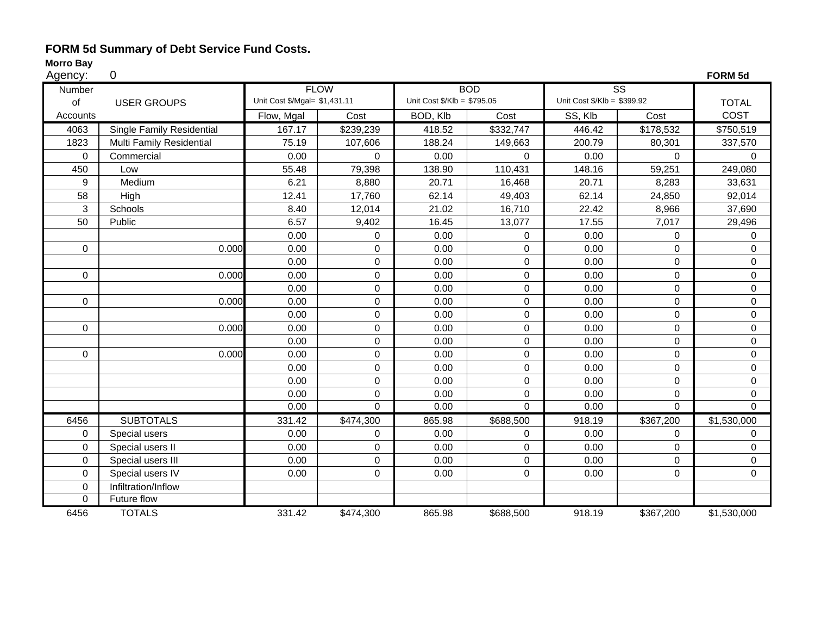#### **FORM 5d Summary of Debt Service Fund Costs.**

| Agency:          | 0                                |                               |                     |                             |                |                             |                        | FORM 5d        |
|------------------|----------------------------------|-------------------------------|---------------------|-----------------------------|----------------|-----------------------------|------------------------|----------------|
| Number           |                                  |                               | <b>FLOW</b>         |                             | <b>BOD</b>     |                             | $\overline{\text{ss}}$ |                |
| of               | <b>USER GROUPS</b>               | Unit Cost \$/Mgal= \$1,431.11 |                     | Unit Cost \$/Klb = \$795.05 |                | Unit Cost \$/Klb = \$399.92 |                        | <b>TOTAL</b>   |
| Accounts         |                                  | Flow, Mgal                    | Cost                | BOD, Klb                    | Cost           | SS, Klb                     | Cost                   | COST           |
| 4063             | <b>Single Family Residential</b> | 167.17                        | \$239,239           | 418.52                      | \$332,747      | 446.42                      | \$178,532              | \$750,519      |
| 1823             | Multi Family Residential         | 75.19                         | 107,606             | 188.24                      | 149,663        | 200.79                      | 80,301                 | 337,570        |
| $\mathbf 0$      | Commercial                       | 0.00                          | $\mathbf 0$         | 0.00                        | $\mathbf 0$    | 0.00                        | 0                      | $\Omega$       |
| 450              | Low                              | 55.48                         | 79,398              | 138.90                      | 110,431        | 148.16                      | 59,251                 | 249,080        |
| 9                | Medium                           | 6.21                          | 8,880               | 20.71                       | 16,468         | 20.71                       | 8,283                  | 33,631         |
| 58               | High                             | 12.41                         | 17,760              | 62.14                       | 49,403         | 62.14                       | 24,850                 | 92,014         |
| 3                | Schools                          | 8.40                          | 12,014              | 21.02                       | 16,710         | 22.42                       | 8,966                  | 37,690         |
| 50               | Public                           | 6.57                          | 9,402               | 16.45                       | 13,077         | 17.55                       | 7,017                  | 29,496         |
|                  |                                  | 0.00                          | 0                   | 0.00                        | $\mathbf{0}$   | 0.00                        | 0                      | $\Omega$       |
| 0                | 0.000                            | 0.00                          | 0                   | 0.00                        | $\mathbf 0$    | 0.00                        | 0                      | $\mathbf 0$    |
|                  |                                  | 0.00                          | 0                   | 0.00                        | $\Omega$       | 0.00                        | 0                      | $\Omega$       |
| $\mathbf 0$      | 0.000                            | 0.00                          | $\mathbf 0$         | 0.00                        | 0              | 0.00                        | 0                      | $\Omega$       |
|                  |                                  | 0.00                          | $\mathsf{O}\xspace$ | 0.00                        | $\mathbf 0$    | 0.00                        | 0                      | 0              |
| $\mathbf 0$      | 0.000                            | 0.00                          | $\mathbf 0$         | 0.00                        | $\mathbf 0$    | 0.00                        | $\Omega$               | $\mathbf 0$    |
|                  |                                  | 0.00                          | $\mathbf 0$         | 0.00                        | $\mathbf 0$    | 0.00                        | 0                      | 0              |
| $\mathbf 0$      | 0.000                            | 0.00                          | $\mathbf 0$         | 0.00                        | $\mathbf 0$    | 0.00                        | 0                      | 0              |
|                  |                                  | 0.00                          | 0                   | 0.00                        | 0              | 0.00                        | 0                      | $\mathbf 0$    |
| $\boldsymbol{0}$ | 0.000                            | 0.00                          | 0                   | 0.00                        | 0              | 0.00                        | 0                      | 0              |
|                  |                                  | 0.00                          | $\mathbf 0$         | 0.00                        | $\mathbf 0$    | 0.00                        | 0                      | $\mathbf 0$    |
|                  |                                  | 0.00                          | 0                   | 0.00                        | $\mathbf 0$    | 0.00                        | 0                      | $\mathbf 0$    |
|                  |                                  | 0.00                          | $\mathbf 0$         | 0.00                        | 0              | 0.00                        | 0                      | 0              |
|                  |                                  | 0.00                          | $\overline{0}$      | 0.00                        | $\overline{0}$ | 0.00                        | 0                      | $\overline{0}$ |
| 6456             | <b>SUBTOTALS</b>                 | 331.42                        | \$474,300           | 865.98                      | \$688,500      | 918.19                      | \$367,200              | \$1,530,000    |
| $\mathbf 0$      | Special users                    | 0.00                          | $\mathbf 0$         | 0.00                        | $\Omega$       | 0.00                        | 0                      | $\Omega$       |
| $\mathbf 0$      | Special users II                 | 0.00                          | $\mathbf 0$         | 0.00                        | $\Omega$       | 0.00                        | 0                      | $\Omega$       |
| $\mathbf 0$      | Special users III                | 0.00                          | $\mathbf 0$         | 0.00                        | $\mathbf 0$    | 0.00                        | $\Omega$               | $\mathbf 0$    |
| $\mathbf 0$      | Special users IV                 | 0.00                          | $\mathbf 0$         | 0.00                        | $\mathbf 0$    | 0.00                        | 0                      | $\mathbf 0$    |
| $\mathbf 0$      | Infiltration/Inflow              |                               |                     |                             |                |                             |                        |                |
| $\mathbf 0$      | Future flow                      |                               |                     |                             |                |                             |                        |                |
| 6456             | <b>TOTALS</b>                    | 331.42                        | \$474,300           | 865.98                      | \$688,500      | 918.19                      | \$367,200              | \$1,530,000    |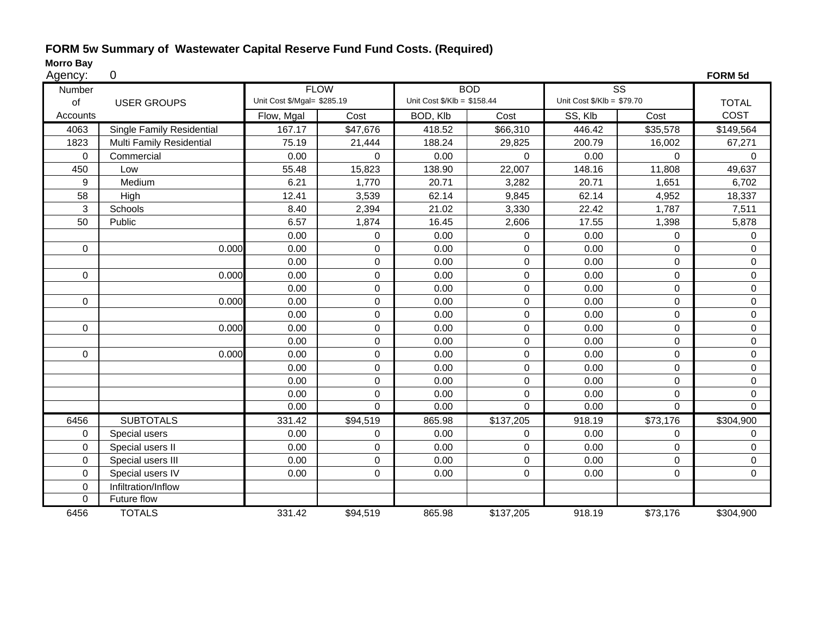#### **FORM 5w Summary of Wastewater Capital Reserve Fund Fund Costs. (Required)**

| Agency |  |
|--------|--|
|        |  |

| Agency:     | 0                         |                             |                  |                                        |                |                                       |                        | FORM 5d      |
|-------------|---------------------------|-----------------------------|------------------|----------------------------------------|----------------|---------------------------------------|------------------------|--------------|
| Number      |                           | <b>FLOW</b>                 |                  |                                        | <b>BOD</b>     |                                       | $\overline{\text{ss}}$ |              |
| of          | <b>USER GROUPS</b>        | Unit Cost \$/Mgal= \$285.19 |                  | Unit Cost $\frac{6}{2}$ Klb = \$158.44 |                | Unit Cost $\frac{6}{2}$ Klb = \$79.70 |                        | <b>TOTAL</b> |
| Accounts    |                           | Flow, Mgal                  | Cost             | BOD, Klb                               | Cost           | SS, Klb                               | Cost                   | COST         |
| 4063        | Single Family Residential | 167.17                      | \$47,676         | 418.52                                 | \$66,310       | 446.42                                | \$35,578               | \$149,564    |
| 1823        | Multi Family Residential  | 75.19                       | 21,444           | 188.24                                 | 29,825         | 200.79                                | 16,002                 | 67,271       |
| 0           | Commercial                | 0.00                        | $\mathbf 0$      | 0.00                                   | $\mathbf 0$    | 0.00                                  | $\Omega$               | $\Omega$     |
| 450         | Low                       | 55.48                       | 15,823           | 138.90                                 | 22,007         | 148.16                                | 11,808                 | 49,637       |
| 9           | Medium                    | 6.21                        | 1,770            | 20.71                                  | 3,282          | 20.71                                 | 1,651                  | 6,702        |
| 58          | High                      | 12.41                       | 3,539            | 62.14                                  | 9,845          | 62.14                                 | 4,952                  | 18,337       |
| 3           | Schools                   | 8.40                        | 2,394            | 21.02                                  | 3,330          | 22.42                                 | 1,787                  | 7,511        |
| 50          | Public                    | 6.57                        | 1,874            | 16.45                                  | 2,606          | 17.55                                 | 1,398                  | 5,878        |
|             |                           | 0.00                        | $\mathbf 0$      | 0.00                                   | 0              | 0.00                                  | 0                      | 0            |
| 0           | 0.000                     | 0.00                        | $\mathbf 0$      | 0.00                                   | 0              | 0.00                                  | $\Omega$               | $\Omega$     |
|             |                           | 0.00                        | $\mathbf 0$      | 0.00                                   | 0              | 0.00                                  | $\Omega$               | 0            |
| $\mathbf 0$ | 0.000                     | 0.00                        | $\boldsymbol{0}$ | 0.00                                   | 0              | 0.00                                  | $\Omega$               | 0            |
|             |                           | 0.00                        | $\pmb{0}$        | 0.00                                   | $\pmb{0}$      | 0.00                                  | $\overline{0}$         | 0            |
| $\mathbf 0$ | 0.000                     | 0.00                        | $\boldsymbol{0}$ | 0.00                                   | $\mathbf 0$    | 0.00                                  | 0                      | 0            |
|             |                           | 0.00                        | $\mathsf 0$      | 0.00                                   | $\mathbf 0$    | 0.00                                  | $\overline{0}$         | 0            |
| $\mathbf 0$ | 0.000                     | 0.00                        | $\mathsf 0$      | 0.00                                   | $\mathbf 0$    | 0.00                                  | $\mathbf 0$            | 0            |
|             |                           | 0.00                        | $\pmb{0}$        | 0.00                                   | $\pmb{0}$      | 0.00                                  | $\mathbf 0$            | 0            |
| 0           | 0.000                     | 0.00                        | $\boldsymbol{0}$ | 0.00                                   | $\pmb{0}$      | 0.00                                  | 0                      | 0            |
|             |                           | 0.00                        | $\mathbf 0$      | 0.00                                   | $\mathbf 0$    | 0.00                                  | $\Omega$               | $\Omega$     |
|             |                           | 0.00                        | $\mathbf 0$      | 0.00                                   | 0              | 0.00                                  | $\Omega$               | $\Omega$     |
|             |                           | 0.00                        | $\mathbf 0$      | 0.00                                   | $\mathbf 0$    | 0.00                                  | $\Omega$               | $\Omega$     |
|             |                           | 0.00                        | $\mathbf 0$      | 0.00                                   | $\overline{0}$ | 0.00                                  | $\Omega$               | $\Omega$     |
| 6456        | <b>SUBTOTALS</b>          | 331.42                      | \$94,519         | 865.98                                 | \$137,205      | 918.19                                | \$73,176               | \$304,900    |
| 0           | Special users             | 0.00                        | 0                | 0.00                                   | 0              | 0.00                                  | $\Omega$               | 0            |
| 0           | Special users II          | 0.00                        | $\mathbf 0$      | 0.00                                   | $\mathbf 0$    | 0.00                                  | $\Omega$               | $\Omega$     |
| $\Omega$    | Special users III         | 0.00                        | $\mathsf 0$      | 0.00                                   | $\mathbf 0$    | 0.00                                  | $\mathbf 0$            | 0            |
| 0           | Special users IV          | 0.00                        | $\mathsf 0$      | 0.00                                   | $\mathsf 0$    | 0.00                                  | $\mathbf 0$            | 0            |
| 0           | Infiltration/Inflow       |                             |                  |                                        |                |                                       |                        |              |
| 0           | Future flow               |                             |                  |                                        |                |                                       |                        |              |
| 6456        | <b>TOTALS</b>             | 331.42                      | \$94,519         | 865.98                                 | \$137,205      | 918.19                                | \$73,176               | \$304,900    |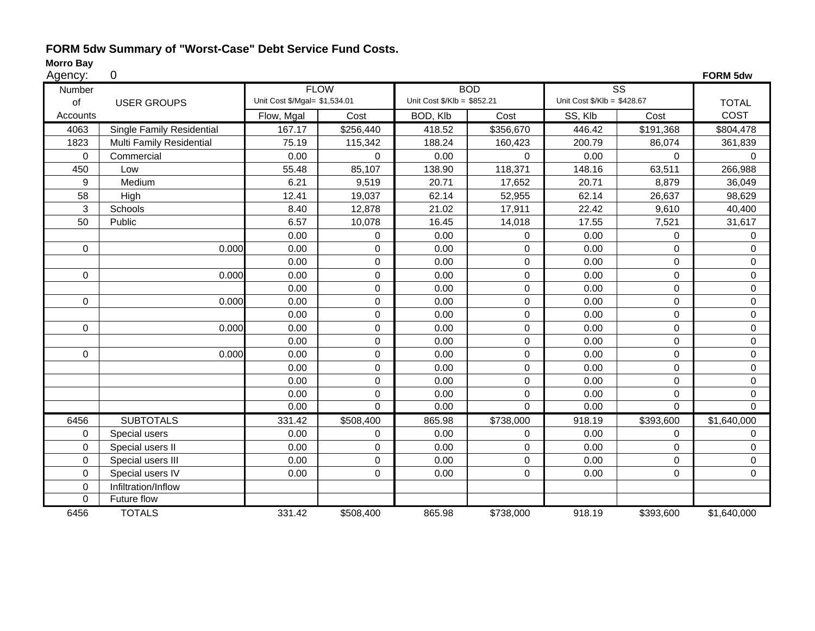## **FORM 5dw Summary of "Worst-Case" Debt Service Fund Costs.**

| Agency:     | 0                         |                               |             |                             |                |                             |                        | FORM 5dw       |
|-------------|---------------------------|-------------------------------|-------------|-----------------------------|----------------|-----------------------------|------------------------|----------------|
| Number      |                           |                               | <b>FLOW</b> |                             | <b>BOD</b>     |                             | $\overline{\text{ss}}$ |                |
| of          | <b>USER GROUPS</b>        | Unit Cost \$/Mgal= \$1,534.01 |             | Unit Cost \$/Klb = \$852.21 |                | Unit Cost \$/Klb = \$428.67 |                        | <b>TOTAL</b>   |
| Accounts    |                           | Flow, Mgal                    | Cost        | BOD, Klb                    | Cost           | SS, Klb                     | Cost                   | COST           |
| 4063        | Single Family Residential | 167.17                        | \$256,440   | 418.52                      | \$356,670      | 446.42                      | \$191,368              | \$804,478      |
| 1823        | Multi Family Residential  | 75.19                         | 115,342     | 188.24                      | 160,423        | 200.79                      | 86,074                 | 361,839        |
| $\pmb{0}$   | Commercial                | 0.00                          | 0           | 0.00                        | $\mathbf 0$    | 0.00                        | $\pmb{0}$              | $\mathbf 0$    |
| 450         | Low                       | 55.48                         | 85,107      | 138.90                      | 118,371        | 148.16                      | 63,511                 | 266,988        |
| 9           | Medium                    | 6.21                          | 9,519       | 20.71                       | 17,652         | 20.71                       | 8,879                  | 36,049         |
| 58          | High                      | 12.41                         | 19,037      | 62.14                       | 52,955         | 62.14                       | 26,637                 | 98,629         |
| 3           | Schools                   | 8.40                          | 12,878      | 21.02                       | 17,911         | 22.42                       | 9,610                  | 40,400         |
| 50          | Public                    | 6.57                          | 10,078      | 16.45                       | 14,018         | 17.55                       | 7,521                  | 31,617         |
|             |                           | 0.00                          | 0           | 0.00                        | $\mathbf 0$    | 0.00                        | $\mathbf 0$            | 0              |
| $\mathbf 0$ | 0.000                     | 0.00                          | 0           | 0.00                        | $\Omega$       | 0.00                        | $\Omega$               | $\Omega$       |
|             |                           | 0.00                          | 0           | 0.00                        | 0              | 0.00                        | 0                      | $\Omega$       |
| $\mathbf 0$ | 0.000                     | 0.00                          | $\mathsf 0$ | 0.00                        | $\mathbf 0$    | 0.00                        | $\mathbf 0$            | 0              |
|             |                           | 0.00                          | 0           | 0.00                        | 0              | 0.00                        | $\mathsf 0$            | 0              |
| $\mathbf 0$ | 0.000                     | 0.00                          | 0           | 0.00                        | $\pmb{0}$      | 0.00                        | 0                      | 0              |
|             |                           | 0.00                          | 0           | 0.00                        | 0              | 0.00                        | $\mathbf 0$            | $\Omega$       |
| $\mathbf 0$ | 0.000                     | 0.00                          | 0           | 0.00                        | $\mathbf 0$    | 0.00                        | $\mathbf 0$            | 0              |
|             |                           | 0.00                          | 0           | 0.00                        | $\mathbf 0$    | 0.00                        | $\mathbf 0$            | 0              |
| 0           | 0.000                     | 0.00                          | 0           | 0.00                        | $\mathbf 0$    | 0.00                        | 0                      | 0              |
|             |                           | 0.00                          | 0           | 0.00                        | 0              | 0.00                        | $\mathbf 0$            | 0              |
|             |                           | 0.00                          | 0           | 0.00                        | 0              | 0.00                        | $\mathbf 0$            | 0              |
|             |                           | 0.00                          | 0           | 0.00                        | 0              | 0.00                        | $\mathbf 0$            | 0              |
|             |                           | 0.00                          | $\mathbf 0$ | 0.00                        | $\overline{0}$ | 0.00                        | $\mathbf 0$            | $\overline{0}$ |
| 6456        | <b>SUBTOTALS</b>          | 331.42                        | \$508,400   | 865.98                      | \$738,000      | 918.19                      | \$393,600              | \$1,640,000    |
| $\mathbf 0$ | Special users             | 0.00                          | 0           | 0.00                        | $\Omega$       | 0.00                        | $\mathbf 0$            | 0              |
| $\mathbf 0$ | Special users II          | 0.00                          | 0           | 0.00                        | $\mathbf 0$    | 0.00                        | $\mathbf 0$            | 0              |
| $\mathbf 0$ | Special users III         | 0.00                          | 0           | 0.00                        | $\mathbf 0$    | 0.00                        | $\mathbf 0$            | 0              |
| $\mathbf 0$ | Special users IV          | 0.00                          | 0           | 0.00                        | $\mathbf 0$    | 0.00                        | $\mathbf 0$            | 0              |
| $\mathbf 0$ | Infiltration/Inflow       |                               |             |                             |                |                             |                        |                |
| 0           | Future flow               |                               |             |                             |                |                             |                        |                |
| 6456        | <b>TOTALS</b>             | 331.42                        | \$508,400   | 865.98                      | \$738,000      | 918.19                      | \$393,600              | \$1,640,000    |